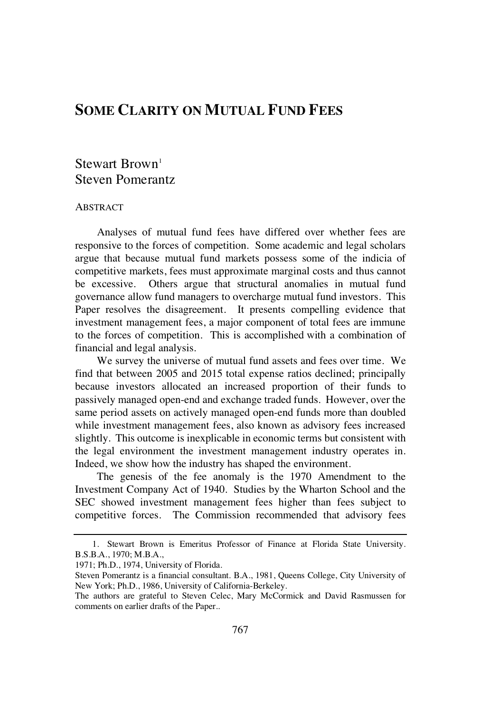# **SOME CLARITY ON MUTUAL FUND FEES**

## $Stewart Brown<sup>1</sup>$ Steven Pomerantz

#### ABSTRACT

Analyses of mutual fund fees have differed over whether fees are responsive to the forces of competition. Some academic and legal scholars argue that because mutual fund markets possess some of the indicia of competitive markets, fees must approximate marginal costs and thus cannot be excessive. Others argue that structural anomalies in mutual fund governance allow fund managers to overcharge mutual fund investors. This Paper resolves the disagreement. It presents compelling evidence that investment management fees, a major component of total fees are immune to the forces of competition. This is accomplished with a combination of financial and legal analysis.

We survey the universe of mutual fund assets and fees over time. We find that between 2005 and 2015 total expense ratios declined; principally because investors allocated an increased proportion of their funds to passively managed open-end and exchange traded funds. However, over the same period assets on actively managed open-end funds more than doubled while investment management fees, also known as advisory fees increased slightly. This outcome is inexplicable in economic terms but consistent with the legal environment the investment management industry operates in. Indeed, we show how the industry has shaped the environment.

The genesis of the fee anomaly is the 1970 Amendment to the Investment Company Act of 1940. Studies by the Wharton School and the SEC showed investment management fees higher than fees subject to competitive forces. The Commission recommended that advisory fees

<sup>1.</sup> Stewart Brown is Emeritus Professor of Finance at Florida State University. B.S.B.A., 1970; M.B.A.,

<sup>1971;</sup> Ph.D., 1974, University of Florida.

Steven Pomerantz is a financial consultant. B.A., 1981, Queens College, City University of New York; Ph.D., 1986, University of California-Berkeley.

The authors are grateful to Steven Celec, Mary McCormick and David Rasmussen for comments on earlier drafts of the Paper..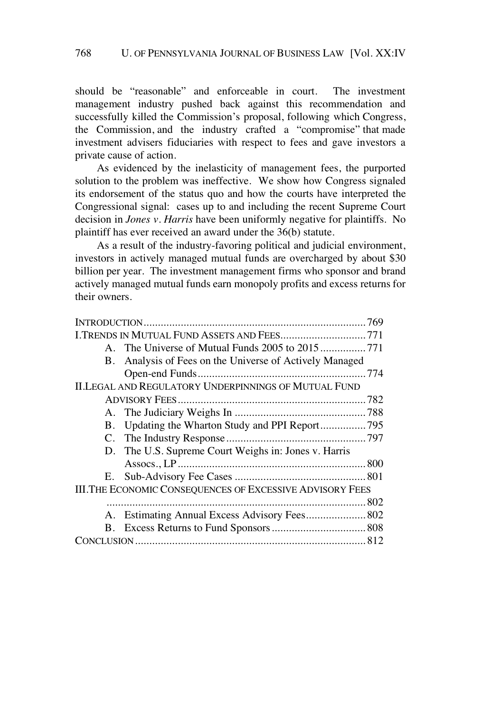should be "reasonable" and enforceable in court. The investment management industry pushed back against this recommendation and successfully killed the Commission's proposal, following which Congress, the Commission, and the industry crafted a "compromise" that made investment advisers fiduciaries with respect to fees and gave investors a private cause of action.

As evidenced by the inelasticity of management fees, the purported solution to the problem was ineffective. We show how Congress signaled its endorsement of the status quo and how the courts have interpreted the Congressional signal: cases up to and including the recent Supreme Court decision in *Jones v. Harris* have been uniformly negative for plaintiffs. No plaintiff has ever received an award under the 36(b) statute.

As a result of the industry-favoring political and judicial environment, investors in actively managed mutual funds are overcharged by about \$30 billion per year. The investment management firms who sponsor and brand actively managed mutual funds earn monopoly profits and excess returns for their owners.

| I.TRENDS IN MUTUAL FUND ASSETS AND FEES771                         |  |
|--------------------------------------------------------------------|--|
|                                                                    |  |
| Analysis of Fees on the Universe of Actively Managed<br><b>B</b> . |  |
|                                                                    |  |
| <b>II.LEGAL AND REGULATORY UNDERPINNINGS OF MUTUAL FUND</b>        |  |
|                                                                    |  |
|                                                                    |  |
| В.                                                                 |  |
|                                                                    |  |
| D. The U.S. Supreme Court Weighs in: Jones v. Harris               |  |
|                                                                    |  |
|                                                                    |  |
| <b>III.THE ECONOMIC CONSEQUENCES OF EXCESSIVE ADVISORY FEES</b>    |  |
|                                                                    |  |
| Estimating Annual Excess Advisory Fees 802<br>A.                   |  |
| В.                                                                 |  |
|                                                                    |  |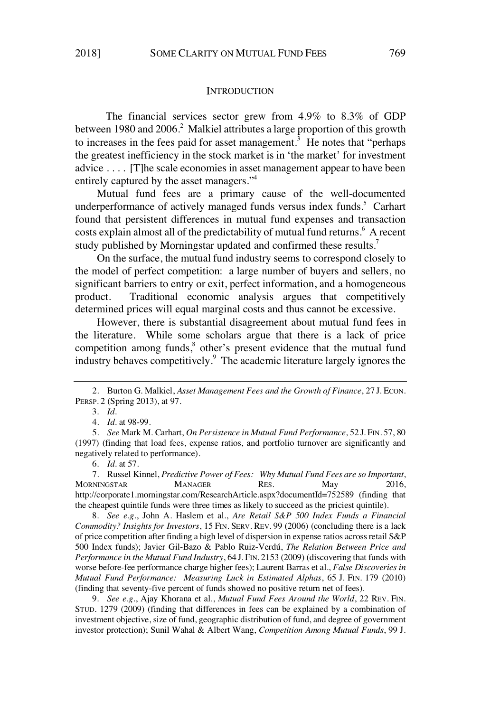#### **INTRODUCTION**

The financial services sector grew from 4.9% to 8.3% of GDP between 1980 and 2006.<sup>2</sup> Malkiel attributes a large proportion of this growth to increases in the fees paid for asset management.<sup>3</sup> He notes that "perhaps" the greatest inefficiency in the stock market is in 'the market' for investment advice . . . . [T]he scale economies in asset management appear to have been entirely captured by the asset managers."<sup>4</sup>

Mutual fund fees are a primary cause of the well-documented underperformance of actively managed funds versus index funds.<sup>5</sup> Carhart found that persistent differences in mutual fund expenses and transaction costs explain almost all of the predictability of mutual fund returns.<sup>6</sup> A recent study published by Morningstar updated and confirmed these results.<sup>7</sup>

On the surface, the mutual fund industry seems to correspond closely to the model of perfect competition: a large number of buyers and sellers, no significant barriers to entry or exit, perfect information, and a homogeneous product. Traditional economic analysis argues that competitively determined prices will equal marginal costs and thus cannot be excessive.

However, there is substantial disagreement about mutual fund fees in the literature. While some scholars argue that there is a lack of price competition among funds,<sup>8</sup> other's present evidence that the mutual fund industry behaves competitively.<sup>9</sup> The academic literature largely ignores the

6. *Id.* at 57.

7. Russel Kinnel, *Predictive Power of Fees: Why Mutual Fund Fees are so Important*, MORNINGSTAR MANAGER RES. May 2016, http://corporate1.morningstar.com/ResearchArticle.aspx?documentId=752589 (finding that the cheapest quintile funds were three times as likely to succeed as the priciest quintile).

8. *See e.g.*, John A. Haslem et al., *Are Retail S&P 500 Index Funds a Financial Commodity? Insights for Investors*, 15 FIN. SERV. REV. 99 (2006) (concluding there is a lack of price competition after finding a high level of dispersion in expense ratios acrossretail S&P 500 Index funds); Javier Gil-Bazo & Pablo Ruiz-Verdú, *The Relation Between Price and Performance in the Mutual Fund Industry*, 64 J. FIN. 2153 (2009) (discovering that funds with worse before-fee performance charge higher fees); Laurent Barras et al., *False Discoveries in Mutual Fund Performance: Measuring Luck in Estimated Alphas*, 65 J. FIN. 179 (2010) (finding that seventy-five percent of funds showed no positive return net of fees).

9. *See e.g.*, Ajay Khorana et al., *Mutual Fund Fees Around the World*, 22 REV. FIN. STUD. 1279 (2009) (finding that differences in fees can be explained by a combination of investment objective, size of fund, geographic distribution of fund, and degree of government investor protection); Sunil Wahal & Albert Wang, *Competition Among Mutual Funds*, 99 J.

<sup>2.</sup> Burton G. Malkiel, *Asset Management Fees and the Growth of Finance*, 27 J. ECON. PERSP. 2 (Spring 2013), at 97.

<sup>3.</sup> *Id.*

<sup>4.</sup> *Id.* at 98-99.

<sup>5.</sup> *See* Mark M. Carhart, *On Persistence in Mutual Fund Performance*, 52 J. FIN. 57, 80 (1997) (finding that load fees, expense ratios, and portfolio turnover are significantly and negatively related to performance).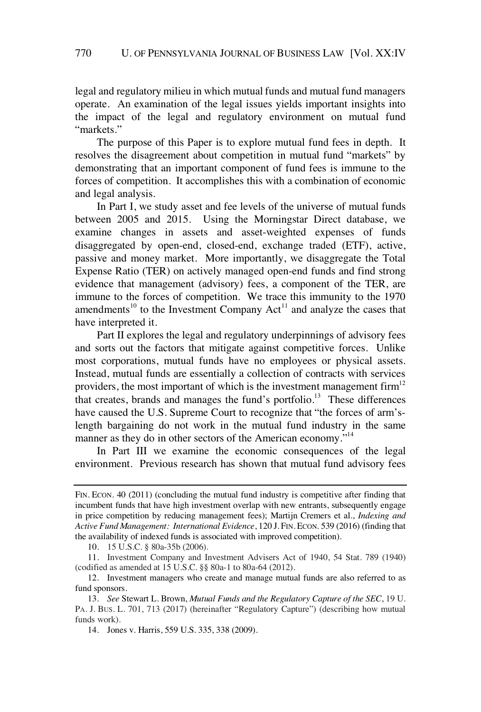legal and regulatory milieu in which mutual funds and mutual fund managers operate. An examination of the legal issues yields important insights into the impact of the legal and regulatory environment on mutual fund "markets."

The purpose of this Paper is to explore mutual fund fees in depth. It resolves the disagreement about competition in mutual fund "markets" by demonstrating that an important component of fund fees is immune to the forces of competition. It accomplishes this with a combination of economic and legal analysis.

In Part I, we study asset and fee levels of the universe of mutual funds between 2005 and 2015. Using the Morningstar Direct database, we examine changes in assets and asset-weighted expenses of funds disaggregated by open-end, closed-end, exchange traded (ETF), active, passive and money market. More importantly, we disaggregate the Total Expense Ratio (TER) on actively managed open-end funds and find strong evidence that management (advisory) fees, a component of the TER, are immune to the forces of competition. We trace this immunity to the 1970 amendments<sup>10</sup> to the Investment Company  $Act<sup>11</sup>$  and analyze the cases that have interpreted it.

Part II explores the legal and regulatory underpinnings of advisory fees and sorts out the factors that mitigate against competitive forces. Unlike most corporations, mutual funds have no employees or physical assets. Instead, mutual funds are essentially a collection of contracts with services providers, the most important of which is the investment management firm<sup>12</sup> that creates, brands and manages the fund's portfolio.<sup>13</sup> These differences have caused the U.S. Supreme Court to recognize that "the forces of arm'slength bargaining do not work in the mutual fund industry in the same manner as they do in other sectors of the American economy."<sup>14</sup>

In Part III we examine the economic consequences of the legal environment. Previous research has shown that mutual fund advisory fees

10. 15 U.S.C. § 80a-35b (2006).

FIN. ECON. 40 (2011) (concluding the mutual fund industry is competitive after finding that incumbent funds that have high investment overlap with new entrants, subsequently engage in price competition by reducing management fees); Martijn Cremers et al., *Indexing and Active Fund Management: International Evidence*, 120 J. FIN. ECON. 539 (2016) (finding that the availability of indexed funds is associated with improved competition).

<sup>11.</sup> Investment Company and Investment Advisers Act of 1940, 54 Stat. 789 (1940) (codified as amended at 15 U.S.C. §§ 80a-1 to 80a-64 (2012).

<sup>12.</sup> Investment managers who create and manage mutual funds are also referred to as fund sponsors.

<sup>13.</sup> *See* Stewart L. Brown, *Mutual Funds and the Regulatory Capture of the SEC*, 19 U. PA. J. BUS. L. 701, 713 (2017) (hereinafter "Regulatory Capture") (describing how mutual funds work).

<sup>14.</sup> Jones v. Harris, 559 U.S. 335, 338 (2009).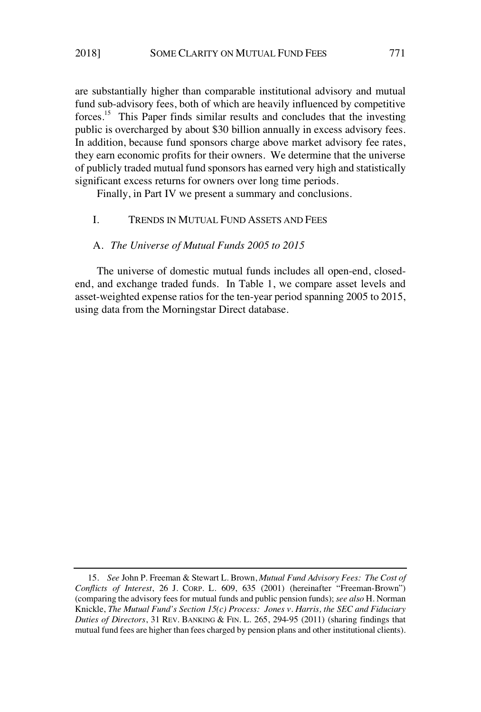are substantially higher than comparable institutional advisory and mutual fund sub-advisory fees, both of which are heavily influenced by competitive forces.<sup>15</sup> This Paper finds similar results and concludes that the investing public is overcharged by about \$30 billion annually in excess advisory fees. In addition, because fund sponsors charge above market advisory fee rates, they earn economic profits for their owners. We determine that the universe of publicly traded mutual fund sponsors has earned very high and statistically significant excess returns for owners over long time periods.

Finally, in Part IV we present a summary and conclusions.

## I. TRENDS IN MUTUAL FUND ASSETS AND FEES

#### A. *The Universe of Mutual Funds 2005 to 2015*

The universe of domestic mutual funds includes all open-end, closedend, and exchange traded funds. In Table 1, we compare asset levels and asset-weighted expense ratios for the ten-year period spanning 2005 to 2015, using data from the Morningstar Direct database.

<sup>15.</sup> *See* John P. Freeman & Stewart L. Brown, *Mutual Fund Advisory Fees: The Cost of Conflicts of Interest*, 26 J. CORP. L. 609, 635 (2001) (hereinafter "Freeman-Brown") (comparing the advisory fees for mutual funds and public pension funds); *see also* H. Norman Knickle, *The Mutual Fund's Section 15(c) Process: Jones v. Harris, the SEC and Fiduciary Duties of Directors*, 31 REV. BANKING & FIN. L. 265, 294-95 (2011) (sharing findings that mutual fund fees are higher than fees charged by pension plans and other institutional clients).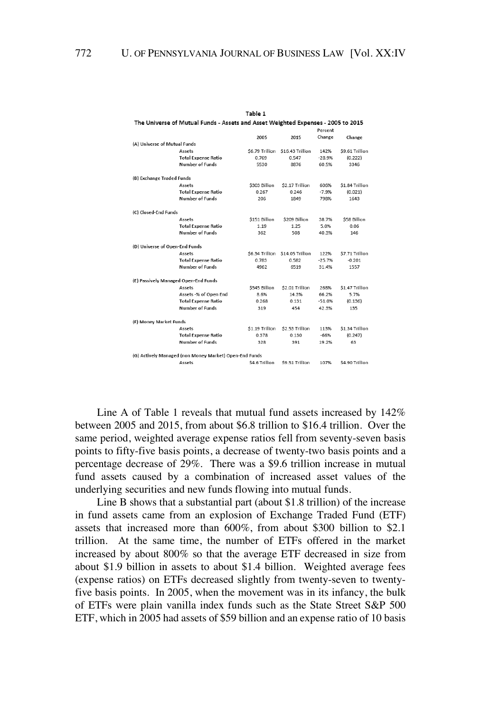|                                      |                                                        |                 |                  | Percent  |                 |
|--------------------------------------|--------------------------------------------------------|-----------------|------------------|----------|-----------------|
|                                      |                                                        | 2005            | 2015             | Change   | Change          |
| (A) Universe of Mutual Funds         |                                                        |                 |                  |          |                 |
|                                      | Assets                                                 | \$6.79 Trillion | \$16.43 Trillion | 142%     | \$9.61 Trillion |
|                                      | <b>Total Expense Ratio</b>                             | 0.769           | 0.547            | $-28.9%$ | (0.222)         |
|                                      | <b>Number of Funds</b>                                 | 5530            | 8876             | 60.5%    | 3346            |
| (B) Exchange Traded Funds            |                                                        |                 |                  |          |                 |
|                                      | Assets                                                 | \$303 Billion   | \$2.17 Trillion  | 606%     | \$1.84 Trillion |
|                                      | <b>Total Expense Ratio</b>                             | 0.267           | 0.246            | $-7.9%$  | (0.021)         |
|                                      | <b>Number of Funds</b>                                 | 206             | 1849             | 798%     | 1643            |
| (C) Closed-End Funds                 |                                                        |                 |                  |          |                 |
|                                      | Assets                                                 | \$151 Billion   | \$209 Billion    | 38.7%    | \$58 Billion    |
|                                      | <b>Total Expense Ratio</b>                             | 1.19            | 1.25             | 5.0%     | 0.06            |
|                                      | <b>Number of Funds</b>                                 | 362             | 508              | 40.3%    | 146             |
| (D) Universe of Open-End Funds       |                                                        |                 |                  |          |                 |
|                                      | Assets                                                 | \$6.34 Trillion | \$14.05 Trillion | 122%     | \$7.71 Trillion |
|                                      | <b>Total Expense Ratio</b>                             | 0.783           | 0.582            | $-25.7%$ | $-0.201$        |
|                                      | Number of Funds                                        | 4962            | 6519             | 31.4%    | 1557            |
| (E) Passively Managed Open-End Funds |                                                        |                 |                  |          |                 |
|                                      | Assets                                                 | \$545 Billion   | \$2.01 Trillion  | 268%     | \$1.47 Trillion |
|                                      | Assets -% of Open End                                  | 8.6%            | 14.3%            | 66.2%    | 5.7%            |
|                                      | <b>Total Expense Ratio</b>                             | 0.268           | 0.131            | $-51.0%$ | (0.136)         |
|                                      | <b>Number of Funds</b>                                 | 319             | 454              | 42.3%    | 135             |
| (F) Money Market Funds               |                                                        |                 |                  |          |                 |
|                                      | Assets                                                 | \$1.19 Trillion | \$2.53 Trillion  | 113%     | \$1.34 Trillion |
|                                      | <b>Total Expense Ratio</b>                             | 0.378           | 0.130            | $-66%$   | (0.247)         |
|                                      | <b>Number of Funds</b>                                 | 328             | 391              | 19.2%    | 63              |
|                                      | (G) Actively Managed (non Money Market) Open-End Funds |                 |                  |          |                 |
|                                      | Assets                                                 | S4 6 Trillion   | \$9.51 Trillion  | 107%     | \$4.90 Trillion |

Table 1 The Universe of Mutual Funds - Assets and Asset Weighted Expenses - 2005 to 2015

Line A of Table 1 reveals that mutual fund assets increased by 142% between 2005 and 2015, from about \$6.8 trillion to \$16.4 trillion. Over the same period, weighted average expense ratios fell from seventy-seven basis points to fifty-five basis points, a decrease of twenty-two basis points and a percentage decrease of 29%. There was a \$9.6 trillion increase in mutual fund assets caused by a combination of increased asset values of the underlying securities and new funds flowing into mutual funds.

Line B shows that a substantial part (about \$1.8 trillion) of the increase in fund assets came from an explosion of Exchange Traded Fund (ETF) assets that increased more than 600%, from about \$300 billion to \$2.1 trillion. At the same time, the number of ETFs offered in the market increased by about 800% so that the average ETF decreased in size from about \$1.9 billion in assets to about \$1.4 billion. Weighted average fees (expense ratios) on ETFs decreased slightly from twenty-seven to twentyfive basis points. In 2005, when the movement was in its infancy, the bulk of ETFs were plain vanilla index funds such as the State Street S&P 500 ETF, which in 2005 had assets of \$59 billion and an expense ratio of 10 basis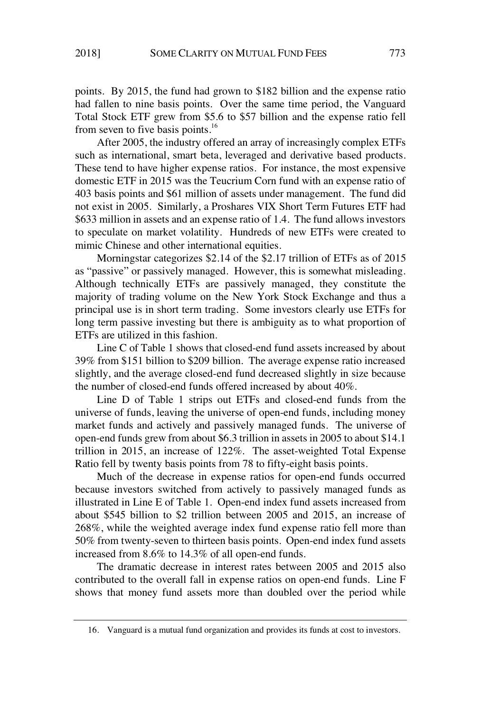points. By 2015, the fund had grown to \$182 billion and the expense ratio had fallen to nine basis points. Over the same time period, the Vanguard Total Stock ETF grew from \$5.6 to \$57 billion and the expense ratio fell from seven to five basis points.<sup>16</sup>

After 2005, the industry offered an array of increasingly complex ETFs such as international, smart beta, leveraged and derivative based products. These tend to have higher expense ratios. For instance, the most expensive domestic ETF in 2015 was the Teucrium Corn fund with an expense ratio of 403 basis points and \$61 million of assets under management. The fund did not exist in 2005. Similarly, a Proshares VIX Short Term Futures ETF had \$633 million in assets and an expense ratio of 1.4. The fund allows investors to speculate on market volatility. Hundreds of new ETFs were created to mimic Chinese and other international equities.

Morningstar categorizes \$2.14 of the \$2.17 trillion of ETFs as of 2015 as "passive" or passively managed. However, this is somewhat misleading. Although technically ETFs are passively managed, they constitute the majority of trading volume on the New York Stock Exchange and thus a principal use is in short term trading. Some investors clearly use ETFs for long term passive investing but there is ambiguity as to what proportion of ETFs are utilized in this fashion.

Line C of Table 1 shows that closed-end fund assets increased by about 39% from \$151 billion to \$209 billion. The average expense ratio increased slightly, and the average closed-end fund decreased slightly in size because the number of closed-end funds offered increased by about 40%.

Line D of Table 1 strips out ETFs and closed-end funds from the universe of funds, leaving the universe of open-end funds, including money market funds and actively and passively managed funds. The universe of open-end funds grew from about \$6.3 trillion in assets in 2005 to about \$14.1 trillion in 2015, an increase of 122%. The asset-weighted Total Expense Ratio fell by twenty basis points from 78 to fifty-eight basis points.

Much of the decrease in expense ratios for open-end funds occurred because investors switched from actively to passively managed funds as illustrated in Line E of Table 1. Open-end index fund assets increased from about \$545 billion to \$2 trillion between 2005 and 2015, an increase of 268%, while the weighted average index fund expense ratio fell more than 50% from twenty-seven to thirteen basis points. Open-end index fund assets increased from 8.6% to 14.3% of all open-end funds.

The dramatic decrease in interest rates between 2005 and 2015 also contributed to the overall fall in expense ratios on open-end funds. Line F shows that money fund assets more than doubled over the period while

<sup>16.</sup> Vanguard is a mutual fund organization and provides its funds at cost to investors.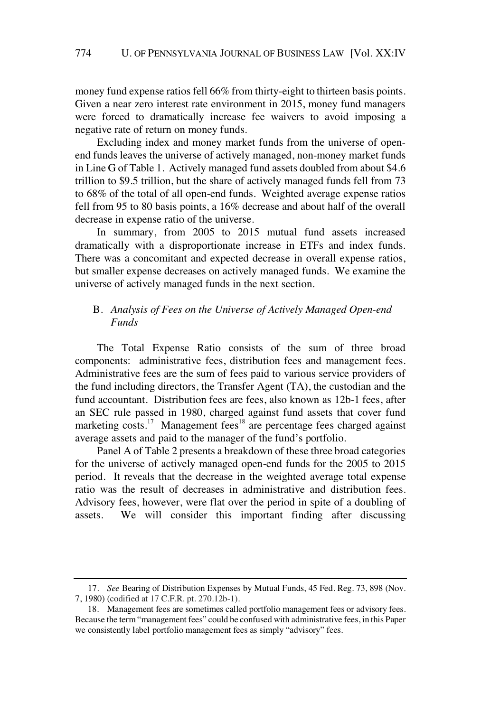money fund expense ratios fell 66% from thirty-eight to thirteen basis points. Given a near zero interest rate environment in 2015, money fund managers were forced to dramatically increase fee waivers to avoid imposing a negative rate of return on money funds.

Excluding index and money market funds from the universe of openend funds leaves the universe of actively managed, non-money market funds in Line G of Table 1. Actively managed fund assets doubled from about \$4.6 trillion to \$9.5 trillion, but the share of actively managed funds fell from 73 to 68% of the total of all open-end funds. Weighted average expense ratios fell from 95 to 80 basis points, a 16% decrease and about half of the overall decrease in expense ratio of the universe.

In summary, from 2005 to 2015 mutual fund assets increased dramatically with a disproportionate increase in ETFs and index funds. There was a concomitant and expected decrease in overall expense ratios, but smaller expense decreases on actively managed funds. We examine the universe of actively managed funds in the next section.

## B. *Analysis of Fees on the Universe of Actively Managed Open-end Funds*

The Total Expense Ratio consists of the sum of three broad components: administrative fees, distribution fees and management fees. Administrative fees are the sum of fees paid to various service providers of the fund including directors, the Transfer Agent (TA), the custodian and the fund accountant. Distribution fees are fees, also known as 12b-1 fees, after an SEC rule passed in 1980, charged against fund assets that cover fund marketing costs.<sup>17</sup> Management fees<sup>18</sup> are percentage fees charged against average assets and paid to the manager of the fund's portfolio.

Panel A of Table 2 presents a breakdown of these three broad categories for the universe of actively managed open-end funds for the 2005 to 2015 period. It reveals that the decrease in the weighted average total expense ratio was the result of decreases in administrative and distribution fees. Advisory fees, however, were flat over the period in spite of a doubling of assets. We will consider this important finding after discussing

<sup>17.</sup> *See* Bearing of Distribution Expenses by Mutual Funds, 45 Fed. Reg. 73, 898 (Nov. 7, 1980) (codified at 17 C.F.R. pt. 270.12b-1).

<sup>18.</sup> Management fees are sometimes called portfolio management fees or advisory fees. Because the term "management fees" could be confused with administrative fees, in this Paper we consistently label portfolio management fees as simply "advisory" fees.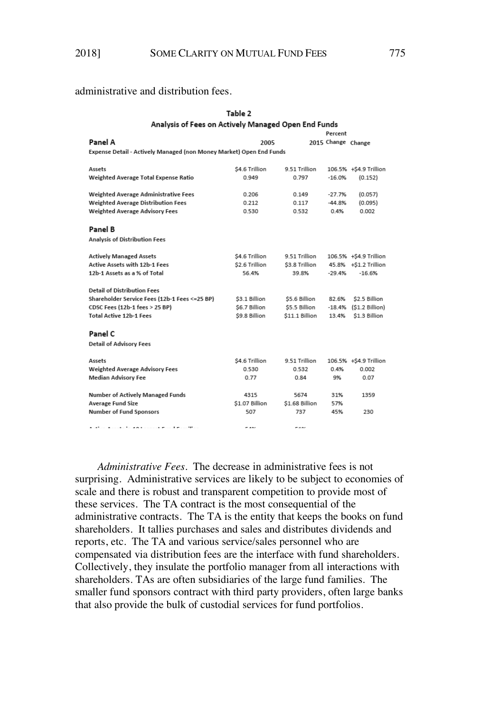Table 2

### administrative and distribution fees.

|                                                                     | Analysis of Fees on Actively Managed Open End Funds |                |                        |                        |  |  |  |  |  |  |  |
|---------------------------------------------------------------------|-----------------------------------------------------|----------------|------------------------|------------------------|--|--|--|--|--|--|--|
| Percent                                                             |                                                     |                |                        |                        |  |  |  |  |  |  |  |
| Panel A                                                             | 2005                                                |                | 2015 Change Change     |                        |  |  |  |  |  |  |  |
| Expense Detail - Actively Managed (non Money Market) Open End Funds |                                                     |                |                        |                        |  |  |  |  |  |  |  |
|                                                                     |                                                     |                |                        |                        |  |  |  |  |  |  |  |
| Assets                                                              | \$4.6 Trillion                                      | 9.51 Trillion  |                        | 106.5% +\$4.9 Trillion |  |  |  |  |  |  |  |
| Weighted Average Total Expense Ratio                                | 0.949                                               | 0.797          | $-16.0%$               | (0.152)                |  |  |  |  |  |  |  |
|                                                                     |                                                     |                |                        |                        |  |  |  |  |  |  |  |
| Weighted Average Administrative Fees                                | 0.206                                               | 0.149          | $-27.7%$               | (0.057)                |  |  |  |  |  |  |  |
| Weighted Average Distribution Fees                                  | 0.212                                               | 0.117          | $-44.8%$               | (0.095)                |  |  |  |  |  |  |  |
| <b>Weighted Average Advisory Fees</b>                               | 0.530                                               | 0.532          | 0.4%                   | 0.002                  |  |  |  |  |  |  |  |
|                                                                     |                                                     |                |                        |                        |  |  |  |  |  |  |  |
| Panel B                                                             |                                                     |                |                        |                        |  |  |  |  |  |  |  |
| Analysis of Distribution Fees                                       |                                                     |                |                        |                        |  |  |  |  |  |  |  |
|                                                                     |                                                     |                |                        |                        |  |  |  |  |  |  |  |
| <b>Actively Managed Assets</b>                                      | \$4.6 Trillion                                      | 9.51 Trillion  |                        | 106.5% +\$4.9 Trillion |  |  |  |  |  |  |  |
| <b>Active Assets with 12b-1 Fees</b>                                | \$2.6 Trillion                                      | \$3.8 Trillion |                        | 45.8% +\$1.2 Trillion  |  |  |  |  |  |  |  |
| 12b-1 Assets as a % of Total                                        | 56.4%                                               | 39.8%          | $-29.4%$               | $-16.6%$               |  |  |  |  |  |  |  |
|                                                                     |                                                     |                |                        |                        |  |  |  |  |  |  |  |
| <b>Detail of Distribution Fees</b>                                  |                                                     |                |                        |                        |  |  |  |  |  |  |  |
| Shareholder Service Fees (12b-1 Fees <= 25 BP)                      | \$3.1 Billion                                       | \$5.6 Billion  | 82.6%                  | \$2.5 Billion          |  |  |  |  |  |  |  |
| CDSC Fees (12b-1 fees > 25 BP)                                      | \$6.7 Billion                                       | \$5.5 Billion  | -18.4%                 | (\$1.2 Billion)        |  |  |  |  |  |  |  |
| <b>Total Active 12b-1 Fees</b>                                      | \$9.8 Billion                                       | \$11.1 Billion | \$1.3 Billion<br>13.4% |                        |  |  |  |  |  |  |  |
|                                                                     |                                                     |                |                        |                        |  |  |  |  |  |  |  |
| Panel C                                                             |                                                     |                |                        |                        |  |  |  |  |  |  |  |
| <b>Detail of Advisory Fees</b>                                      |                                                     |                |                        |                        |  |  |  |  |  |  |  |
|                                                                     |                                                     |                |                        |                        |  |  |  |  |  |  |  |
| Assets                                                              | \$4.6 Trillion                                      | 9.51 Trillion  |                        | 106.5% +\$4.9 Trillion |  |  |  |  |  |  |  |
| <b>Weighted Average Advisory Fees</b>                               | 0.530                                               | 0.532          | 0.4%                   | 0.002                  |  |  |  |  |  |  |  |
| <b>Median Advisory Fee</b>                                          | 0.77                                                | 0.84           | 9%                     | 0.07                   |  |  |  |  |  |  |  |
|                                                                     |                                                     |                |                        |                        |  |  |  |  |  |  |  |
| <b>Number of Actively Managed Funds</b>                             | 4315                                                | 5674           | 31%                    | 1359                   |  |  |  |  |  |  |  |
| <b>Average Fund Size</b>                                            | \$1.07 Billion                                      | \$1.68 Billion | 57%                    |                        |  |  |  |  |  |  |  |
| <b>Number of Fund Sponsors</b>                                      | 507                                                 | 737            | 45%                    | 230                    |  |  |  |  |  |  |  |
|                                                                     |                                                     |                |                        |                        |  |  |  |  |  |  |  |
| A sale of A country for A A 1 concerns Provide Press (Rese          | <b>FAN</b>                                          | r a or         |                        |                        |  |  |  |  |  |  |  |

*Administrative Fees*. The decrease in administrative fees is not surprising. Administrative services are likely to be subject to economies of scale and there is robust and transparent competition to provide most of these services. The TA contract is the most consequential of the administrative contracts. The TA is the entity that keeps the books on fund shareholders. It tallies purchases and sales and distributes dividends and reports, etc. The TA and various service/sales personnel who are compensated via distribution fees are the interface with fund shareholders. Collectively, they insulate the portfolio manager from all interactions with shareholders. TAs are often subsidiaries of the large fund families. The smaller fund sponsors contract with third party providers, often large banks that also provide the bulk of custodial services for fund portfolios.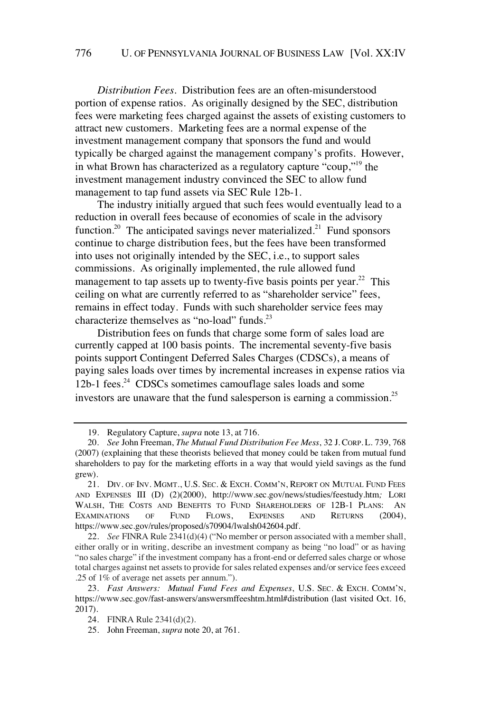*Distribution Fees*. Distribution fees are an often-misunderstood portion of expense ratios. As originally designed by the SEC, distribution fees were marketing fees charged against the assets of existing customers to attract new customers. Marketing fees are a normal expense of the investment management company that sponsors the fund and would typically be charged against the management company's profits. However, in what Brown has characterized as a regulatory capture "coup,"<sup>19</sup> the investment management industry convinced the SEC to allow fund management to tap fund assets via SEC Rule 12b-1.

The industry initially argued that such fees would eventually lead to a reduction in overall fees because of economies of scale in the advisory function.<sup>20</sup> The anticipated savings never materialized.<sup>21</sup> Fund sponsors continue to charge distribution fees, but the fees have been transformed into uses not originally intended by the SEC, i.e., to support sales commissions. As originally implemented, the rule allowed fund management to tap assets up to twenty-five basis points per year.<sup>22</sup> This ceiling on what are currently referred to as "shareholder service" fees, remains in effect today. Funds with such shareholder service fees may characterize themselves as "no-load" funds.<sup>23</sup>

Distribution fees on funds that charge some form of sales load are currently capped at 100 basis points. The incremental seventy-five basis points support Contingent Deferred Sales Charges (CDSCs), a means of paying sales loads over times by incremental increases in expense ratios via 12b-1 fees.<sup>24</sup> CDSCs sometimes camouflage sales loads and some investors are unaware that the fund salesperson is earning a commission.<sup>25</sup>

<sup>19.</sup> Regulatory Capture, *supra* note 13, at 716.

<sup>20.</sup> *See* John Freeman, *The Mutual Fund Distribution Fee Mess*, 32 J. CORP. L. 739, 768 (2007) (explaining that these theorists believed that money could be taken from mutual fund shareholders to pay for the marketing efforts in a way that would yield savings as the fund grew).

<sup>21.</sup> DIV. OF INV. MGMT., U.S. SEC. & EXCH. COMM'N, REPORT ON MUTUAL FUND FEES AND EXPENSES III (D) (2)(2000), http://www.sec.gov/news/studies/feestudy.htm*;* LORI WALSH, THE COSTS AND BENEFITS TO FUND SHAREHOLDERS OF 12B-1 PLANS: AN EXAMINATIONS OF FUND FLOWS, EXPENSES AND RETURNS (2004), https://www.sec.gov/rules/proposed/s70904/lwalsh042604.pdf.

<sup>22.</sup> *See* FINRA Rule 2341(d)(4) ("No member or person associated with a membershall, either orally or in writing, describe an investment company as being "no load" or as having "no sales charge" if the investment company has a front-end or deferred sales charge or whose total charges against net assets to provide for sales related expenses and/or service fees exceed .25 of 1% of average net assets per annum.").

<sup>23.</sup> *Fast Answers: Mutual Fund Fees and Expenses*, U.S. SEC. & EXCH. COMM'N, https://www.sec.gov/fast-answers/answersmffeeshtm.html#distribution (last visited Oct. 16, 2017).

<sup>24.</sup> FINRA Rule 2341(d)(2).

<sup>25.</sup> John Freeman, *supra* note 20, at 761.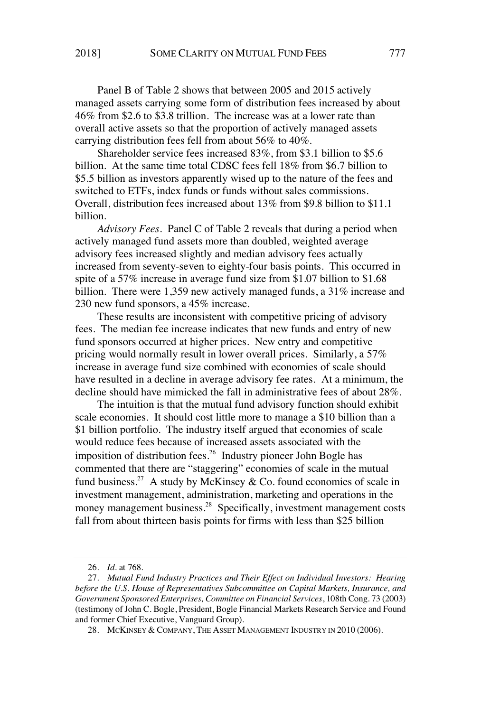Panel B of Table 2 shows that between 2005 and 2015 actively managed assets carrying some form of distribution fees increased by about 46% from \$2.6 to \$3.8 trillion. The increase was at a lower rate than overall active assets so that the proportion of actively managed assets carrying distribution fees fell from about 56% to 40%.

Shareholder service fees increased 83%, from \$3.1 billion to \$5.6 billion. At the same time total CDSC fees fell 18% from \$6.7 billion to \$5.5 billion as investors apparently wised up to the nature of the fees and switched to ETFs, index funds or funds without sales commissions. Overall, distribution fees increased about 13% from \$9.8 billion to \$11.1 billion.

*Advisory Fees*. Panel C of Table 2 reveals that during a period when actively managed fund assets more than doubled, weighted average advisory fees increased slightly and median advisory fees actually increased from seventy-seven to eighty-four basis points. This occurred in spite of a 57% increase in average fund size from \$1.07 billion to \$1.68 billion. There were 1,359 new actively managed funds, a 31% increase and 230 new fund sponsors, a 45% increase.

These results are inconsistent with competitive pricing of advisory fees. The median fee increase indicates that new funds and entry of new fund sponsors occurred at higher prices. New entry and competitive pricing would normally result in lower overall prices. Similarly, a 57% increase in average fund size combined with economies of scale should have resulted in a decline in average advisory fee rates. At a minimum, the decline should have mimicked the fall in administrative fees of about 28%.

The intuition is that the mutual fund advisory function should exhibit scale economies. It should cost little more to manage a \$10 billion than a \$1 billion portfolio. The industry itself argued that economies of scale would reduce fees because of increased assets associated with the imposition of distribution fees.<sup>26</sup> Industry pioneer John Bogle has commented that there are "staggering" economies of scale in the mutual fund business.<sup>27</sup> A study by McKinsey & Co. found economies of scale in investment management, administration, marketing and operations in the money management business.<sup>28</sup> Specifically, investment management costs fall from about thirteen basis points for firms with less than \$25 billion

<sup>26.</sup> *Id.* at 768.

<sup>27.</sup> *Mutual Fund Industry Practices and Their Effect on Individual Investors: Hearing before the U.S. House of Representatives Subcommittee on Capital Markets, Insurance, and Government Sponsored Enterprises, Committee on Financial Services*, 108th Cong. 73 (2003) (testimony of John C. Bogle, President, Bogle Financial Markets Research Service and Found and former Chief Executive, Vanguard Group).

<sup>28.</sup> MCKINSEY & COMPANY, THE ASSET MANAGEMENT INDUSTRY IN 2010 (2006).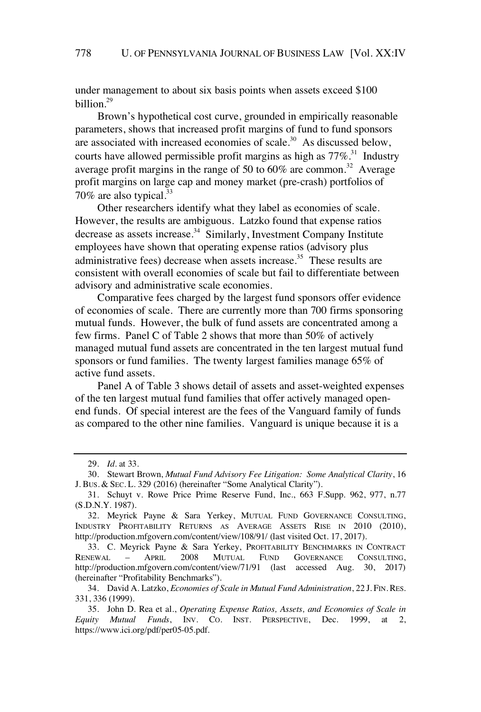under management to about six basis points when assets exceed \$100 billion.<sup>29</sup>

Brown's hypothetical cost curve, grounded in empirically reasonable parameters, shows that increased profit margins of fund to fund sponsors are associated with increased economies of scale. $30$  As discussed below, courts have allowed permissible profit margins as high as  $77\%$ <sup>31</sup>. Industry average profit margins in the range of 50 to 60% are common.<sup>32</sup> Average profit margins on large cap and money market (pre-crash) portfolios of  $70\%$  are also typical.<sup>33</sup>

Other researchers identify what they label as economies of scale. However, the results are ambiguous. Latzko found that expense ratios decrease as assets increase. $34$  Similarly, Investment Company Institute employees have shown that operating expense ratios (advisory plus administrative fees) decrease when assets increase.<sup>35</sup> These results are consistent with overall economies of scale but fail to differentiate between advisory and administrative scale economies.

Comparative fees charged by the largest fund sponsors offer evidence of economies of scale. There are currently more than 700 firms sponsoring mutual funds. However, the bulk of fund assets are concentrated among a few firms. Panel C of Table 2 shows that more than 50% of actively managed mutual fund assets are concentrated in the ten largest mutual fund sponsors or fund families. The twenty largest families manage 65% of active fund assets.

Panel A of Table 3 shows detail of assets and asset-weighted expenses of the ten largest mutual fund families that offer actively managed openend funds. Of special interest are the fees of the Vanguard family of funds as compared to the other nine families. Vanguard is unique because it is a

<sup>29.</sup> *Id.* at 33.

<sup>30.</sup> Stewart Brown, *Mutual Fund Advisory Fee Litigation: Some Analytical Clarity*, 16 J. BUS. & SEC. L. 329 (2016) (hereinafter "Some Analytical Clarity").

<sup>31.</sup> Schuyt v. Rowe Price Prime Reserve Fund, Inc., 663 F.Supp. 962, 977, n.77 (S.D.N.Y. 1987).

<sup>32.</sup> Meyrick Payne & Sara Yerkey, MUTUAL FUND GOVERNANCE CONSULTING, INDUSTRY PROFITABILITY RETURNS AS AVERAGE ASSETS RISE IN 2010 (2010), http://production.mfgovern.com/content/view/108/91/ (last visited Oct. 17, 2017).

<sup>33.</sup> C. Meyrick Payne & Sara Yerkey, PROFITABILITY BENCHMARKS IN CONTRACT RENEWAL – APRIL 2008 MUTUAL FUND GOVERNANCE CONSULTING, http://production.mfgovern.com/content/view/71/91 (last accessed Aug. 30, 2017) (hereinafter "Profitability Benchmarks").

<sup>34.</sup> David A. Latzko, *Economies of Scale in Mutual Fund Administration*, 22 J. FIN. RES. 331, 336 (1999).

<sup>35.</sup> John D. Rea et al., *Operating Expense Ratios, Assets, and Economies of Scale in Equity Mutual Funds*, INV. CO. INST. PERSPECTIVE, Dec. 1999, at 2, https://www.ici.org/pdf/per05-05.pdf.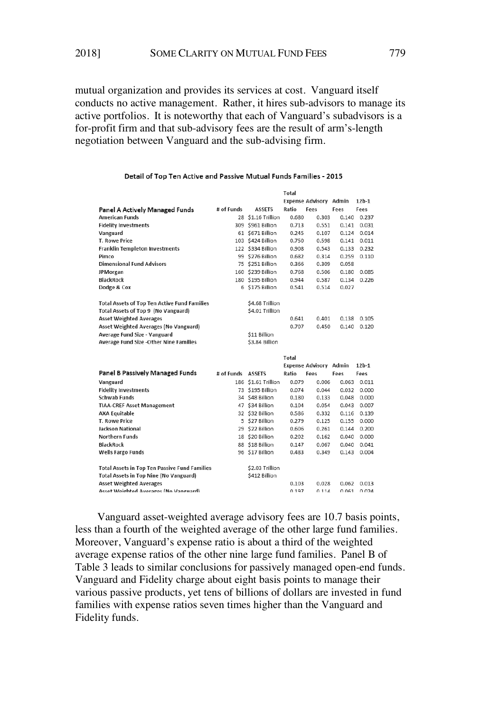mutual organization and provides its services at cost. Vanguard itself conducts no active management. Rather, it hires sub-advisors to manage its active portfolios. It is noteworthy that each of Vanguard's subadvisors is a for-profit firm and that sub-advisory fees are the result of arm's-length negotiation between Vanguard and the sub-advising firm.

|                                                     |            |                   |       | Expense Advisory Admin |       | $12b-1$ |
|-----------------------------------------------------|------------|-------------------|-------|------------------------|-------|---------|
| Panel A Actively Managed Funds                      | # of Funds | <b>ASSETS</b>     | Ratio | Fees                   | Fees  | Fees    |
| <b>American Funds</b>                               | 28         | \$1.16 Trillion   | 0.680 | 0.303                  | 0.140 | 0.237   |
| <b>Fidelity Investments</b>                         |            | 309 \$961 Billion | 0.713 | 0.551                  | 0.141 | 0.031   |
| Vanguard                                            |            | 61 \$671 Billion  | 0.245 | 0.107                  | 0.124 | 0.014   |
| T. Rowe Price                                       |            | 103 \$424 Billion | 0.750 | 0.598                  | 0.141 | 0.011   |
| <b>Franklin Templeton Investments</b>               |            | 122 \$334 Billion | 0.908 | 0.543                  | 0.133 | 0.232   |
| Pimco                                               |            | 99 \$276 Billion  | 0.682 | 0.314                  | 0.259 | 0.110   |
| <b>Dimensional Fund Advisors</b>                    |            | 75 \$251 Billion  | 0.366 | 0.309                  | 0.058 |         |
| JPMorgan                                            |            | 160 \$239 Billion | 0.768 | 0.506                  | 0.180 | 0.085   |
| <b>BlackRock</b>                                    |            | 180 \$195 Billion | 0.944 | 0.587                  | 0.134 | 0.226   |
| Dodge & Cox                                         | 6          | \$175 Billion     | 0.541 | 0.514                  | 0.027 |         |
| <b>Total Assets of Top Ten Active Fund Families</b> |            | \$4.68 Trillion   |       |                        |       |         |
| Total Assets of Top 9 (No Vanguard)                 |            | \$4.01 Trillion   |       |                        |       |         |
| <b>Asset Weighted Averages</b>                      |            |                   | 0.641 | 0.401                  | 0.138 | 0.105   |
| Asset Weighted Averages (No Vanguard)               |            |                   | 0.707 | 0.450                  | 0.140 | 0.120   |
| Average Fund Size - Vanguard                        |            | \$11 Billion      |       |                        |       |         |
| Average Fund Size -Other Nine Families              |            | \$3.84 Billion    |       |                        |       |         |
|                                                     |            |                   | Total |                        |       |         |
|                                                     |            |                   |       | Expense Advisory Admin |       | $12b-1$ |

#### Detail of Top Ten Active and Passive Mutual Funds Families - 2015

 $T<sub>0</sub>$ tol

|                                               |            |                     | Total |                         |       |           |
|-----------------------------------------------|------------|---------------------|-------|-------------------------|-------|-----------|
|                                               |            |                     |       | <b>Expense Advisory</b> | Admin | $12b - 1$ |
| Panel B Passively Managed Funds               | # of Funds | <b>ASSETS</b>       | Ratio | Fees                    | Fees  | Fees      |
| Vanguard                                      |            | 186 \$1.61 Trillion | 0.079 | 0.006                   | 0.063 | 0.011     |
| <b>Fidelity Investments</b>                   | 73         | \$195 Billion       | 0.074 | 0.044                   | 0.032 | 0.000     |
| <b>Schwab Funds</b>                           | 34         | \$48 Billion        | 0.180 | 0.133                   | 0.048 | 0.000     |
| <b>TIAA-CREF Asset Management</b>             | 47         | \$34 Billion        | 0.104 | 0.054                   | 0.043 | 0.007     |
| <b>AXA Equitable</b>                          |            | 32 \$32 Billion     | 0.586 | 0.332                   | 0.116 | 0.139     |
| <b>T. Rowe Price</b>                          | 5          | \$27 Billion        | 0.279 | 0.125                   | 0.155 | 0.000     |
| <b>Jackson National</b>                       | 29         | \$22 Billion        | 0.606 | 0.261                   | 0.144 | 0.200     |
| <b>Northern Funds</b>                         | 18         | \$20 Billion        | 0.202 | 0.162                   | 0.040 | 0.000     |
| <b>BlackRock</b>                              |            | 88 \$18 Billion     | 0.147 | 0.067                   | 0.040 | 0.041     |
| <b>Wells Fargo Funds</b>                      |            | 96 \$17 Billion     | 0.483 | 0.349                   | 0.143 | 0.004     |
| Total Assets in Top Ten Passive Fund Families |            | \$2.03 Trillion     |       |                         |       |           |
| Total Assets in Top Nine (No Vanguard)        |            | \$412 Billion       |       |                         |       |           |
| <b>Asset Weighted Averages</b>                |            |                     | 0.103 | 0.028                   | 0.062 | 0.013     |
| Asset Weighted Averages (No Vanguard)         |            |                     | 0197  | 0.11A                   | 0.061 | 0.024     |

Vanguard asset-weighted average advisory fees are 10.7 basis points, less than a fourth of the weighted average of the other large fund families. Moreover, Vanguard's expense ratio is about a third of the weighted average expense ratios of the other nine large fund families. Panel B of Table 3 leads to similar conclusions for passively managed open-end funds. Vanguard and Fidelity charge about eight basis points to manage their various passive products, yet tens of billions of dollars are invested in fund families with expense ratios seven times higher than the Vanguard and Fidelity funds.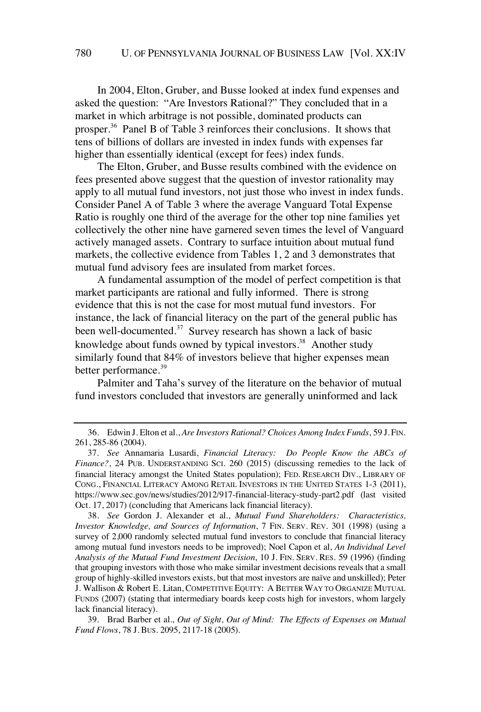In 2004, Elton, Gruber, and Busse looked at index fund expenses and asked the question: "Are Investors Rational?" They concluded that in a market in which arbitrage is not possible, dominated products can prosper.<sup>36</sup> Panel B of Table 3 reinforces their conclusions. It shows that tens of billions of dollars are invested in index funds with expenses far higher than essentially identical (except for fees) index funds.

The Elton, Gruber, and Busse results combined with the evidence on fees presented above suggest that the question of investor rationality may apply to all mutual fund investors, not just those who invest in index funds. Consider Panel A of Table 3 where the average Vanguard Total Expense Ratio is roughly one third of the average for the other top nine families yet collectively the other nine have garnered seven times the level of Vanguard actively managed assets. Contrary to surface intuition about mutual fund markets, the collective evidence from Tables 1, 2 and 3 demonstrates that mutual fund advisory fees are insulated from market forces.

A fundamental assumption of the model of perfect competition is that market participants are rational and fully informed. There is strong evidence that this is not the case for most mutual fund investors. For instance, the lack of financial literacy on the part of the general public has been well-documented.<sup>37</sup> Survey research has shown a lack of basic knowledge about funds owned by typical investors.<sup>38</sup> Another study similarly found that 84% of investors believe that higher expenses mean better performance.<sup>39</sup>

Palmiter and Taha's survey of the literature on the behavior of mutual fund investors concluded that investors are generally uninformed and lack

38. *See* Gordon J. Alexander et al., *Mutual Fund Shareholders: Characteristics, Investor Knowledge, and Sources of Information*, 7 FIN. SERV. REV. 301 (1998) (using a survey of 2,000 randomly selected mutual fund investors to conclude that financial literacy among mutual fund investors needs to be improved); Noel Capon et al, *An Individual Level Analysis of the Mutual Fund Investment Decision*, 10 J. FIN. SERV. RES. 59 (1996) (finding that grouping investors with those who make similar investment decisions reveals that a small group of highly-skilled investors exists, but that most investors are naïve and unskilled); Peter J. Wallison & Robert E. Litan, COMPETITIVE EQUITY: A BETTER WAY TO ORGANIZE MUTUAL FUNDS (2007) (stating that intermediary boards keep costs high for investors, whom largely lack financial literacy).

39. Brad Barber et al., *Out of Sight, Out of Mind: The Effects of Expenses on Mutual Fund Flows*, 78 J. BUS. 2095, 2117-18 (2005).

<sup>36.</sup> Edwin J. Elton et al., *Are Investors Rational? Choices Among Index Funds*, 59 J. FIN. 261, 285-86 (2004).

<sup>37.</sup> *See* Annamaria Lusardi, *Financial Literacy: Do People Know the ABCs of Finance?*, 24 PUB. UNDERSTANDING SCI. 260 (2015) (discussing remedies to the lack of financial literacy amongst the United States population); FED. RESEARCH DIV., LIBRARY OF CONG., FINANCIAL LITERACY AMONG RETAIL INVESTORS IN THE UNITED STATES 1-3 (2011), https://www.sec.gov/news/studies/2012/917-financial-literacy-study-part2.pdf (last visited Oct. 17, 2017) (concluding that Americans lack financial literacy).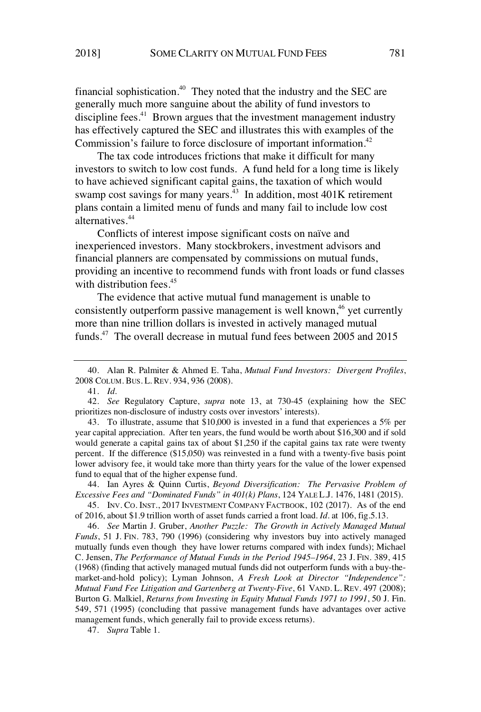financial sophistication.<sup>40</sup> They noted that the industry and the SEC are generally much more sanguine about the ability of fund investors to discipline fees.<sup>41</sup> Brown argues that the investment management industry has effectively captured the SEC and illustrates this with examples of the Commission's failure to force disclosure of important information.<sup>42</sup>

The tax code introduces frictions that make it difficult for many investors to switch to low cost funds. A fund held for a long time is likely to have achieved significant capital gains, the taxation of which would swamp cost savings for many years. $43$  In addition, most 401K retirement plans contain a limited menu of funds and many fail to include low cost alternatives.<sup>44</sup>

Conflicts of interest impose significant costs on naïve and inexperienced investors. Many stockbrokers, investment advisors and financial planners are compensated by commissions on mutual funds, providing an incentive to recommend funds with front loads or fund classes with distribution fees.<sup>45</sup>

The evidence that active mutual fund management is unable to consistently outperform passive management is well known,<sup>46</sup> yet currently more than nine trillion dollars is invested in actively managed mutual funds.<sup>47</sup> The overall decrease in mutual fund fees between 2005 and 2015

44. Ian Ayres & Quinn Curtis, *Beyond Diversification: The Pervasive Problem of Excessive Fees and "Dominated Funds" in 401(k) Plans*, 124 YALE L.J. 1476, 1481 (2015).

45. INV. CO. INST., 2017 INVESTMENT COMPANY FACTBOOK, 102 (2017). As of the end of 2016, about \$1.9 trillion worth of asset funds carried a front load. *Id.* at 106, fig.5.13.

46. *See* Martin J. Gruber, *Another Puzzle: The Growth in Actively Managed Mutual Funds*, 51 J. FIN. 783, 790 (1996) (considering why investors buy into actively managed mutually funds even though they have lower returns compared with index funds); Michael C. Jensen, *The Performance of Mutual Funds in the Period 1945–1964*, 23 J. FIN. 389, 415 (1968) (finding that actively managed mutual funds did not outperform funds with a buy-themarket-and-hold policy); Lyman Johnson, *A Fresh Look at Director "Independence": Mutual Fund Fee Litigation and Gartenberg at Twenty-Five*, 61 VAND. L. REV. 497 (2008); Burton G. Malkiel, *Returns from Investing in Equity Mutual Funds 1971 to 1991*, 50 J. Fin. 549, 571 (1995) (concluding that passive management funds have advantages over active management funds, which generally fail to provide excess returns).

47. *Supra* Table 1.

<sup>40.</sup> Alan R. Palmiter & Ahmed E. Taha, *Mutual Fund Investors: Divergent Profiles*, 2008 COLUM. BUS. L. REV. 934, 936 (2008).

<sup>41.</sup> *Id.*

<sup>42.</sup> *See* Regulatory Capture, *supra* note 13, at 730-45 (explaining how the SEC prioritizes non-disclosure of industry costs over investors' interests).

<sup>43.</sup> To illustrate, assume that \$10,000 is invested in a fund that experiences a 5% per year capital appreciation. After ten years, the fund would be worth about \$16,300 and if sold would generate a capital gains tax of about \$1,250 if the capital gains tax rate were twenty percent. If the difference (\$15,050) was reinvested in a fund with a twenty-five basis point lower advisory fee, it would take more than thirty years for the value of the lower expensed fund to equal that of the higher expense fund.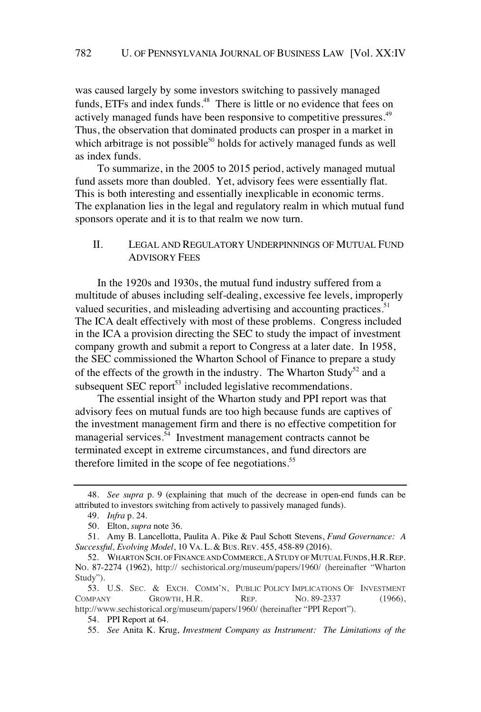was caused largely by some investors switching to passively managed funds, ETFs and index funds.<sup>48</sup> There is little or no evidence that fees on actively managed funds have been responsive to competitive pressures.<sup>49</sup> Thus, the observation that dominated products can prosper in a market in which arbitrage is not possible $50$  holds for actively managed funds as well as index funds.

To summarize, in the 2005 to 2015 period, actively managed mutual fund assets more than doubled. Yet, advisory fees were essentially flat. This is both interesting and essentially inexplicable in economic terms. The explanation lies in the legal and regulatory realm in which mutual fund sponsors operate and it is to that realm we now turn.

## II. LEGAL AND REGULATORY UNDERPINNINGS OF MUTUAL FUND ADVISORY FEES

In the 1920s and 1930s, the mutual fund industry suffered from a multitude of abuses including self-dealing, excessive fee levels, improperly valued securities, and misleading advertising and accounting practices.<sup>51</sup> The ICA dealt effectively with most of these problems. Congress included in the ICA a provision directing the SEC to study the impact of investment company growth and submit a report to Congress at a later date. In 1958, the SEC commissioned the Wharton School of Finance to prepare a study of the effects of the growth in the industry. The Wharton Study<sup>52</sup> and a subsequent  $SEC$  report<sup>53</sup> included legislative recommendations.

The essential insight of the Wharton study and PPI report was that advisory fees on mutual funds are too high because funds are captives of the investment management firm and there is no effective competition for managerial services.<sup>54</sup> Investment management contracts cannot be terminated except in extreme circumstances, and fund directors are therefore limited in the scope of fee negotiations. $55$ 

<sup>48.</sup> *See supra* p. 9 (explaining that much of the decrease in open-end funds can be attributed to investors switching from actively to passively managed funds).

<sup>49.</sup> *Infra* p. 24.

<sup>50.</sup> Elton, *supra* note 36.

<sup>51.</sup> Amy B. Lancellotta, Paulita A. Pike & Paul Schott Stevens, *Fund Governance: A Successful, Evolving Model*, 10 VA. L. & BUS. REV. 455, 458-89 (2016).

<sup>52.</sup> WHARTON SCH. OF FINANCE AND COMMERCE, A STUDY OF MUTUAL FUNDS, H.R. REP. NO. 87-2274 (1962), http:// sechistorical.org/museum/papers/1960/ (hereinafter "Wharton Study").

<sup>53.</sup> U.S. SEC. & EXCH. COMM'N, PUBLIC POLICY IMPLICATIONS OF INVESTMENT COMPANY GROWTH, H.R. REP. NO. 89-2337 (1966), http://www.sechistorical.org/museum/papers/1960/ (hereinafter "PPI Report").

<sup>54.</sup> PPI Report at 64.

<sup>55.</sup> *See* Anita K. Krug, *Investment Company as Instrument: The Limitations of the*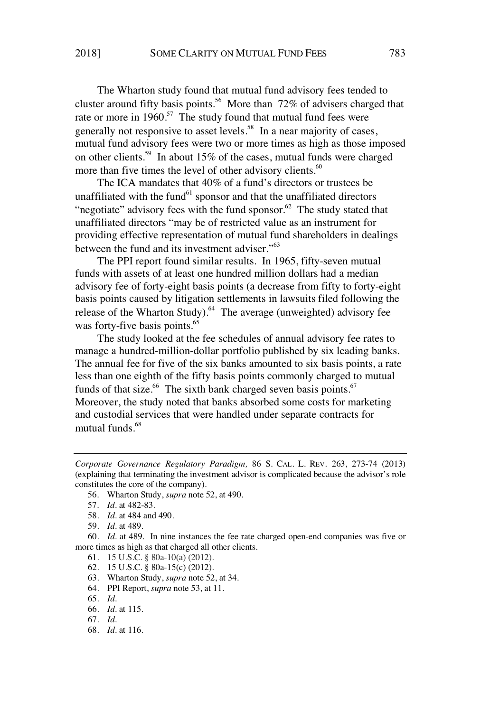The Wharton study found that mutual fund advisory fees tended to cluster around fifty basis points.<sup>56</sup> More than 72% of advisers charged that rate or more in  $1960$ <sup>57</sup>. The study found that mutual fund fees were generally not responsive to asset levels.<sup>58</sup> In a near majority of cases, mutual fund advisory fees were two or more times as high as those imposed on other clients.<sup>59</sup> In about 15% of the cases, mutual funds were charged more than five times the level of other advisory clients.<sup>60</sup>

The ICA mandates that 40% of a fund's directors or trustees be unaffiliated with the fund $61$  sponsor and that the unaffiliated directors "negotiate" advisory fees with the fund sponsor. $62$  The study stated that unaffiliated directors "may be of restricted value as an instrument for providing effective representation of mutual fund shareholders in dealings between the fund and its investment adviser."<sup>63</sup>

The PPI report found similar results. In 1965, fifty-seven mutual funds with assets of at least one hundred million dollars had a median advisory fee of forty-eight basis points (a decrease from fifty to forty-eight basis points caused by litigation settlements in lawsuits filed following the release of the Wharton Study).<sup>64</sup> The average (unweighted) advisory fee was forty-five basis points.<sup>65</sup>

The study looked at the fee schedules of annual advisory fee rates to manage a hundred-million-dollar portfolio published by six leading banks. The annual fee for five of the six banks amounted to six basis points, a rate less than one eighth of the fifty basis points commonly charged to mutual funds of that size.<sup>66</sup> The sixth bank charged seven basis points.<sup>67</sup> Moreover, the study noted that banks absorbed some costs for marketing and custodial services that were handled under separate contracts for mutual funds.<sup>68</sup>

- 61. 15 U.S.C. § 80a-10(a) (2012).
- 62. 15 U.S.C. § 80a-15(c) (2012).
- 63. Wharton Study, *supra* note 52, at 34.
- 64. PPI Report, *supra* note 53, at 11.
- 65. *Id.*
- 66. *Id.* at 115.
- 67. *Id.*
- 68. *Id.* at 116.

*Corporate Governance Regulatory Paradigm,* 86 S. CAL. L. REV. 263, 273-74 (2013) (explaining that terminating the investment advisor is complicated because the advisor's role constitutes the core of the company).

<sup>56.</sup> Wharton Study, *supra* note 52, at 490.

<sup>57.</sup> *Id.* at 482-83.

<sup>58.</sup> *Id.* at 484 and 490.

<sup>59.</sup> *Id.* at 489.

<sup>60.</sup> *Id.* at 489. In nine instances the fee rate charged open-end companies was five or more times as high as that charged all other clients.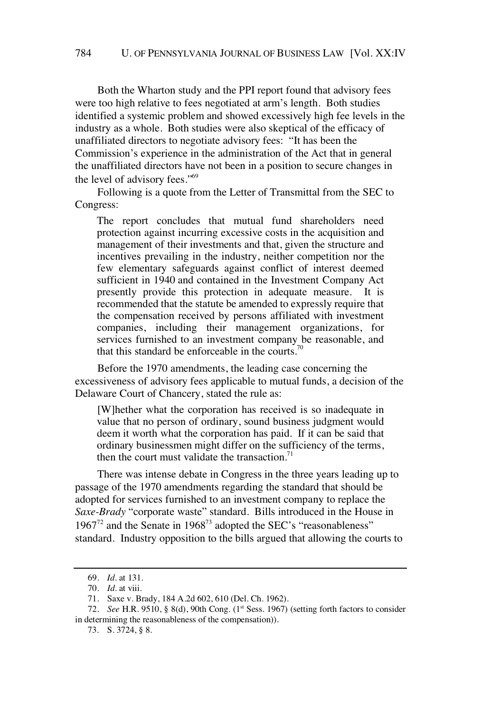Both the Wharton study and the PPI report found that advisory fees were too high relative to fees negotiated at arm's length. Both studies identified a systemic problem and showed excessively high fee levels in the industry as a whole. Both studies were also skeptical of the efficacy of unaffiliated directors to negotiate advisory fees: "It has been the Commission's experience in the administration of the Act that in general the unaffiliated directors have not been in a position to secure changes in the level of advisory fees."<sup>69</sup>

Following is a quote from the Letter of Transmittal from the SEC to Congress:

The report concludes that mutual fund shareholders need protection against incurring excessive costs in the acquisition and management of their investments and that, given the structure and incentives prevailing in the industry, neither competition nor the few elementary safeguards against conflict of interest deemed sufficient in 1940 and contained in the Investment Company Act presently provide this protection in adequate measure. It is recommended that the statute be amended to expressly require that the compensation received by persons affiliated with investment companies, including their management organizations, for services furnished to an investment company be reasonable, and that this standard be enforceable in the courts.<sup>70</sup>

Before the 1970 amendments, the leading case concerning the excessiveness of advisory fees applicable to mutual funds, a decision of the Delaware Court of Chancery, stated the rule as:

[W]hether what the corporation has received is so inadequate in value that no person of ordinary, sound business judgment would deem it worth what the corporation has paid. If it can be said that ordinary businessmen might differ on the sufficiency of the terms, then the court must validate the transaction. $71$ 

There was intense debate in Congress in the three years leading up to passage of the 1970 amendments regarding the standard that should be adopted for services furnished to an investment company to replace the *Saxe-Brady* "corporate waste" standard. Bills introduced in the House in  $1967^{72}$  and the Senate in  $1968^{73}$  adopted the SEC's "reasonableness" standard. Industry opposition to the bills argued that allowing the courts to

<sup>69.</sup> *Id.* at 131.

<sup>70.</sup> *Id.* at viii.

<sup>71.</sup> Saxe v. Brady, 184 A.2d 602, 610 (Del. Ch. 1962).

<sup>72.</sup> *See* H.R. 9510, § 8(d), 90th Cong. (1<sup>st</sup> Sess. 1967) (setting forth factors to consider in determining the reasonableness of the compensation)).

<sup>73.</sup> S. 3724, § 8.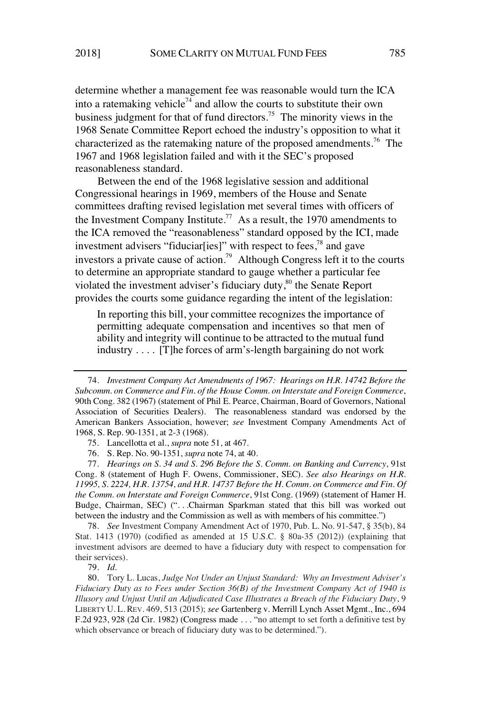determine whether a management fee was reasonable would turn the ICA into a ratemaking vehicle<sup>74</sup> and allow the courts to substitute their own business judgment for that of fund directors.<sup>75</sup> The minority views in the 1968 Senate Committee Report echoed the industry's opposition to what it characterized as the ratemaking nature of the proposed amendments.<sup>76</sup> The 1967 and 1968 legislation failed and with it the SEC's proposed reasonableness standard.

Between the end of the 1968 legislative session and additional Congressional hearings in 1969, members of the House and Senate committees drafting revised legislation met several times with officers of the Investment Company Institute.<sup>77</sup> As a result, the 1970 amendments to the ICA removed the "reasonableness" standard opposed by the ICI, made investment advisers "fiduciar[ies]" with respect to fees,<sup>78</sup> and gave investors a private cause of action.<sup>79</sup> Although Congress left it to the courts to determine an appropriate standard to gauge whether a particular fee violated the investment adviser's fiduciary duty, $80$  the Senate Report provides the courts some guidance regarding the intent of the legislation:

In reporting this bill, your committee recognizes the importance of permitting adequate compensation and incentives so that men of ability and integrity will continue to be attracted to the mutual fund industry . . . . [T]he forces of arm's-length bargaining do not work

77. *Hearings on S. 34 and S. 296 Before the S. Comm. on Banking and Currency*, 91st Cong. 8 (statement of Hugh F. Owens, Commissioner, SEC). *See also Hearings on H.R. 11995, S. 2224, H.R. 13754, and H.R. 14737 Before the H. Comm. on Commerce and Fin. Of the Comm. on Interstate and Foreign Commerce*, 91st Cong. (1969) (statement of Hamer H. Budge, Chairman, SEC) (". . .Chairman Sparkman stated that this bill was worked out between the industry and the Commission as well as with members of his committee.")

78. *See* Investment Company Amendment Act of 1970, Pub. L. No. 91-547, § 35(b), 84 Stat. 1413 (1970) (codified as amended at 15 U.S.C. § 80a-35 (2012)) (explaining that investment advisors are deemed to have a fiduciary duty with respect to compensation for their services).

79. *Id.*

80. Tory L. Lucas, *Judge Not Under an Unjust Standard: Why an Investment Adviser's Fiduciary Duty as to Fees under Section 36(B) of the Investment Company Act of 1940 is Illusory and Unjust Until an Adjudicated Case Illustrates a Breach of the Fiduciary Duty*, 9 LIBERTY U. L. REV. 469, 513 (2015); *see* Gartenberg v. Merrill Lynch Asset Mgmt., Inc., 694 F.2d 923, 928 (2d Cir. 1982) (Congress made . . . "no attempt to set forth a definitive test by which observance or breach of fiduciary duty was to be determined.").

<sup>74.</sup> *Investment Company Act Amendments of 1967: Hearings on H.R. 14742 Before the Subcomm. on Commerce and Fin. of the House Comm. on Interstate and Foreign Commerce*, 90th Cong. 382 (1967) (statement of Phil E. Pearce, Chairman, Board of Governors, National Association of Securities Dealers). The reasonableness standard was endorsed by the American Bankers Association, however; *see* Investment Company Amendments Act of 1968, S. Rep. 90-1351, at 2-3 (1968).

<sup>75.</sup> Lancellotta et al., *supra* note 51, at 467.

<sup>76.</sup> S. Rep. No. 90-1351, *supra* note 74, at 40.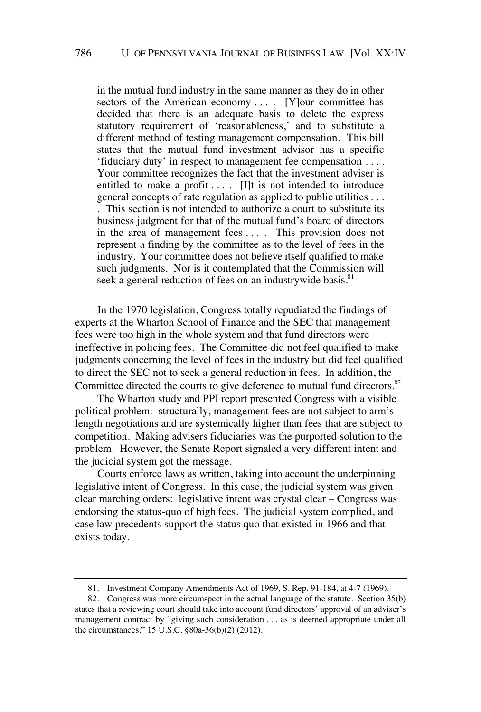in the mutual fund industry in the same manner as they do in other sectors of the American economy .... [Y]our committee has decided that there is an adequate basis to delete the express statutory requirement of 'reasonableness,' and to substitute a different method of testing management compensation. This bill states that the mutual fund investment advisor has a specific 'fiduciary duty' in respect to management fee compensation . . . . Your committee recognizes the fact that the investment adviser is entitled to make a profit  $\dots$ . [I]t is not intended to introduce general concepts of rate regulation as applied to public utilities . . . . This section is not intended to authorize a court to substitute its business judgment for that of the mutual fund's board of directors in the area of management fees . . . . This provision does not represent a finding by the committee as to the level of fees in the industry. Your committee does not believe itself qualified to make such judgments. Nor is it contemplated that the Commission will seek a general reduction of fees on an industrywide basis.<sup>81</sup>

In the 1970 legislation, Congress totally repudiated the findings of experts at the Wharton School of Finance and the SEC that management fees were too high in the whole system and that fund directors were ineffective in policing fees. The Committee did not feel qualified to make judgments concerning the level of fees in the industry but did feel qualified to direct the SEC not to seek a general reduction in fees. In addition, the Committee directed the courts to give deference to mutual fund directors.<sup>82</sup>

The Wharton study and PPI report presented Congress with a visible political problem: structurally, management fees are not subject to arm's length negotiations and are systemically higher than fees that are subject to competition. Making advisers fiduciaries was the purported solution to the problem. However, the Senate Report signaled a very different intent and the judicial system got the message.

Courts enforce laws as written, taking into account the underpinning legislative intent of Congress. In this case, the judicial system was given clear marching orders: legislative intent was crystal clear – Congress was endorsing the status-quo of high fees. The judicial system complied, and case law precedents support the status quo that existed in 1966 and that exists today.

<sup>81.</sup> Investment Company Amendments Act of 1969, S. Rep. 91-184, at 4-7 (1969).

<sup>82.</sup> Congress was more circumspect in the actual language of the statute. Section 35(b) states that a reviewing court should take into account fund directors' approval of an adviser's management contract by "giving such consideration . . . as is deemed appropriate under all the circumstances." 15 U.S.C. §80a-36(b)(2) (2012).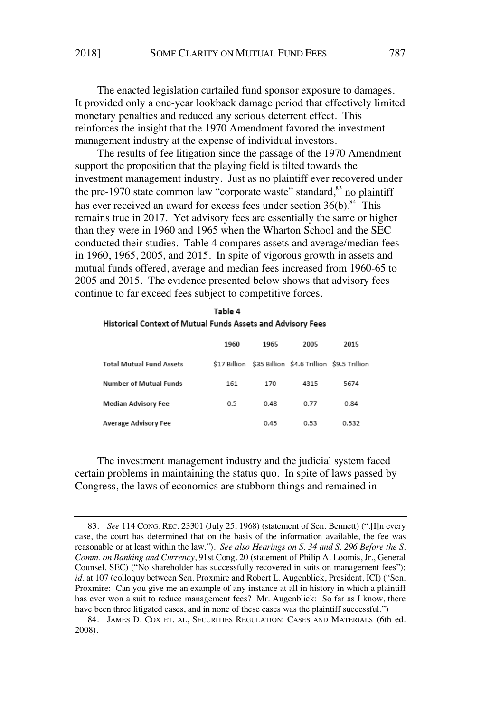The enacted legislation curtailed fund sponsor exposure to damages. It provided only a one-year lookback damage period that effectively limited monetary penalties and reduced any serious deterrent effect. This reinforces the insight that the 1970 Amendment favored the investment management industry at the expense of individual investors.

The results of fee litigation since the passage of the 1970 Amendment support the proposition that the playing field is tilted towards the investment management industry. Just as no plaintiff ever recovered under the pre-1970 state common law "corporate waste" standard,<sup>83</sup> no plaintiff has ever received an award for excess fees under section  $36(b)$ .<sup>84</sup> This remains true in 2017. Yet advisory fees are essentially the same or higher than they were in 1960 and 1965 when the Wharton School and the SEC conducted their studies. Table 4 compares assets and average/median fees in 1960, 1965, 2005, and 2015. In spite of vigorous growth in assets and mutual funds offered, average and median fees increased from 1960-65 to 2005 and 2015. The evidence presented below shows that advisory fees continue to far exceed fees subject to competitive forces.

| Table 4                                                     |  |
|-------------------------------------------------------------|--|
| Historical Context of Mutual Funds Assets and Advisory Fees |  |

|                                 | 1960 | 1965 | 2005                                                    | 2015  |
|---------------------------------|------|------|---------------------------------------------------------|-------|
| <b>Total Mutual Fund Assets</b> |      |      | \$17 Billion \$35 Billion \$4.6 Trillion \$9.5 Trillion |       |
| <b>Number of Mutual Funds</b>   | 161  | 170  | 4315                                                    | 5674  |
| Median Advisory Fee             | 0.5  | 0.48 | 0.77                                                    | 0.84  |
| <b>Average Advisory Fee</b>     |      | 0.45 | 0.53                                                    | 0.532 |

The investment management industry and the judicial system faced certain problems in maintaining the status quo. In spite of laws passed by Congress, the laws of economics are stubborn things and remained in

<sup>83.</sup> *See* 114 CONG. REC. 23301 (July 25, 1968) (statement of Sen. Bennett) (".[I]n every case, the court has determined that on the basis of the information available, the fee was reasonable or at least within the law."). *See also Hearings on S. 34 and S. 296 Before the S. Comm. on Banking and Currency*, 91st Cong. 20 (statement of Philip A. Loomis, Jr., General Counsel, SEC) ("No shareholder has successfully recovered in suits on management fees"); *id.* at 107 (colloquy between Sen. Proxmire and Robert L. Augenblick, President, ICI) ("Sen. Proxmire: Can you give me an example of any instance at all in history in which a plaintiff has ever won a suit to reduce management fees? Mr. Augenblick: So far as I know, there have been three litigated cases, and in none of these cases was the plaintiff successful.")

<sup>84.</sup> JAMES D. COX ET. AL, SECURITIES REGULATION: CASES AND MATERIALS (6th ed. 2008).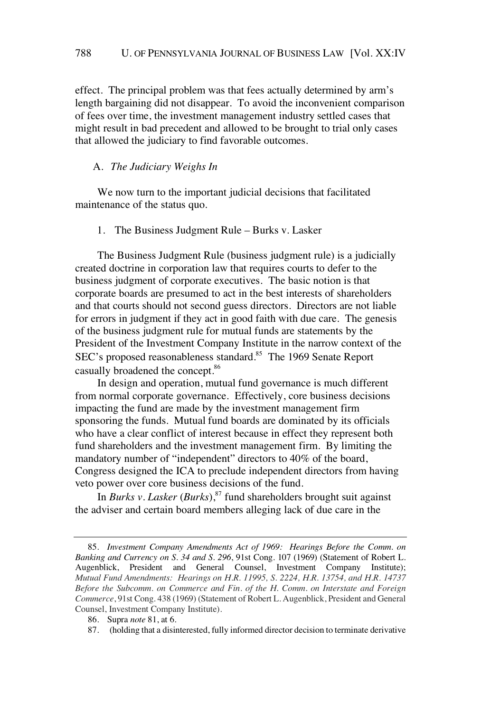effect. The principal problem was that fees actually determined by arm's length bargaining did not disappear. To avoid the inconvenient comparison of fees over time, the investment management industry settled cases that might result in bad precedent and allowed to be brought to trial only cases that allowed the judiciary to find favorable outcomes.

#### A. *The Judiciary Weighs In*

We now turn to the important judicial decisions that facilitated maintenance of the status quo.

1. The Business Judgment Rule – Burks v. Lasker

The Business Judgment Rule (business judgment rule) is a judicially created doctrine in corporation law that requires courts to defer to the business judgment of corporate executives. The basic notion is that corporate boards are presumed to act in the best interests of shareholders and that courts should not second guess directors. Directors are not liable for errors in judgment if they act in good faith with due care. The genesis of the business judgment rule for mutual funds are statements by the President of the Investment Company Institute in the narrow context of the SEC's proposed reasonableness standard.<sup>85</sup> The 1969 Senate Report casually broadened the concept.<sup>86</sup>

In design and operation, mutual fund governance is much different from normal corporate governance. Effectively, core business decisions impacting the fund are made by the investment management firm sponsoring the funds. Mutual fund boards are dominated by its officials who have a clear conflict of interest because in effect they represent both fund shareholders and the investment management firm. By limiting the mandatory number of "independent" directors to 40% of the board, Congress designed the ICA to preclude independent directors from having veto power over core business decisions of the fund.

In *Burks v. Lasker* (*Burks*),<sup>87</sup> fund shareholders brought suit against the adviser and certain board members alleging lack of due care in the

<sup>85.</sup> *Investment Company Amendments Act of 1969: Hearings Before the Comm. on Banking and Currency on S. 34 and S. 296*, 91st Cong. 107 (1969) (Statement of Robert L. Augenblick, President and General Counsel, Investment Company Institute); *Mutual Fund Amendments: Hearings on H.R. 11995, S. 2224, H.R. 13754, and H.R. 14737 Before the Subcomm. on Commerce and Fin. of the H. Comm. on Interstate and Foreign Commerce*, 91st Cong. 438 (1969) (Statement of Robert L. Augenblick, President and General Counsel, Investment Company Institute).

<sup>86.</sup> Supra *note* 81, at 6.

<sup>87.</sup> (holding that a disinterested, fully informed director decision to terminate derivative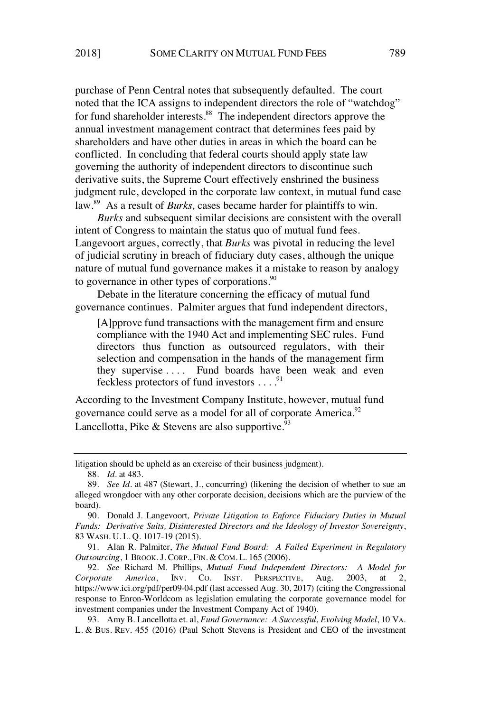purchase of Penn Central notes that subsequently defaulted. The court noted that the ICA assigns to independent directors the role of "watchdog" for fund shareholder interests.<sup>88</sup> The independent directors approve the annual investment management contract that determines fees paid by shareholders and have other duties in areas in which the board can be conflicted. In concluding that federal courts should apply state law governing the authority of independent directors to discontinue such derivative suits, the Supreme Court effectively enshrined the business judgment rule, developed in the corporate law context, in mutual fund case law. <sup>89</sup> As a result of *Burks,* cases became harder for plaintiffs to win.

*Burks* and subsequent similar decisions are consistent with the overall intent of Congress to maintain the status quo of mutual fund fees. Langevoort argues, correctly, that *Burks* was pivotal in reducing the level of judicial scrutiny in breach of fiduciary duty cases, although the unique nature of mutual fund governance makes it a mistake to reason by analogy to governance in other types of corporations. $\frac{90}{2}$ 

Debate in the literature concerning the efficacy of mutual fund governance continues. Palmiter argues that fund independent directors,

[A]pprove fund transactions with the management firm and ensure compliance with the 1940 Act and implementing SEC rules. Fund directors thus function as outsourced regulators, with their selection and compensation in the hands of the management firm they supervise . . . . Fund boards have been weak and even feckless protectors of fund investors . . . .<sup>91</sup>

According to the Investment Company Institute, however, mutual fund governance could serve as a model for all of corporate America.<sup>92</sup> Lancellotta, Pike & Stevens are also supportive.  $93$ 

91. Alan R. Palmiter, *The Mutual Fund Board: A Failed Experiment in Regulatory Outsourcing*, 1 BROOK. J. CORP., FIN. & COM. L. 165 (2006).

92. *See* Richard M. Phillips, *Mutual Fund Independent Directors: A Model for Corporate America*, INV. CO. INST. PERSPECTIVE, Aug. 2003, at 2, https://www.ici.org/pdf/per09-04.pdf (last accessed Aug. 30, 2017) (citing the Congressional response to Enron-Worldcom as legislation emulating the corporate governance model for investment companies under the Investment Company Act of 1940).

93. Amy B. Lancellotta et. al, *Fund Governance: A Successful, Evolving Model*, 10 VA. L. & BUS. REV. 455 (2016) (Paul Schott Stevens is President and CEO of the investment

litigation should be upheld as an exercise of their business judgment).

<sup>88.</sup> *Id.* at 483.

<sup>89.</sup> *See Id.* at 487 (Stewart, J., concurring) (likening the decision of whether to sue an alleged wrongdoer with any other corporate decision, decisions which are the purview of the board).

<sup>90.</sup> Donald J. Langevoort*, Private Litigation to Enforce Fiduciary Duties in Mutual Funds: Derivative Suits, Disinterested Directors and the Ideology of Investor Sovereignty*, 83 WASH. U. L. Q. 1017-19 (2015).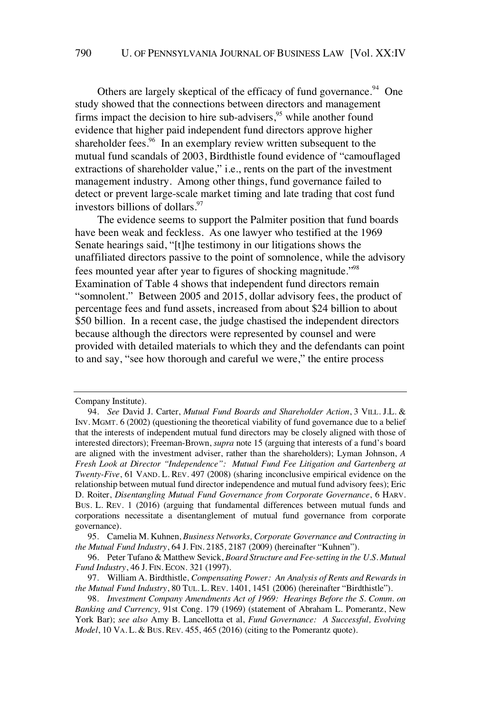Others are largely skeptical of the efficacy of fund governance.<sup>94</sup> One study showed that the connections between directors and management firms impact the decision to hire sub-advisers,<sup>95</sup> while another found evidence that higher paid independent fund directors approve higher shareholder fees. $96$  In an exemplary review written subsequent to the mutual fund scandals of 2003, Birdthistle found evidence of "camouflaged extractions of shareholder value," i.e., rents on the part of the investment management industry. Among other things, fund governance failed to detect or prevent large-scale market timing and late trading that cost fund investors billions of dollars.<sup>97</sup>

The evidence seems to support the Palmiter position that fund boards have been weak and feckless. As one lawyer who testified at the 1969 Senate hearings said, "[t]he testimony in our litigations shows the unaffiliated directors passive to the point of somnolence, while the advisory fees mounted year after year to figures of shocking magnitude."<sup>98</sup> Examination of Table 4 shows that independent fund directors remain "somnolent." Between 2005 and 2015, dollar advisory fees, the product of percentage fees and fund assets, increased from about \$24 billion to about \$50 billion. In a recent case, the judge chastised the independent directors because although the directors were represented by counsel and were provided with detailed materials to which they and the defendants can point to and say, "see how thorough and careful we were," the entire process

Company Institute).

<sup>94.</sup> *See* David J. Carter, *Mutual Fund Boards and Shareholder Action*, 3 VILL. J.L. & INV. MGMT. 6 (2002) (questioning the theoretical viability of fund governance due to a belief that the interests of independent mutual fund directors may be closely aligned with those of interested directors); Freeman-Brown, *supra* note 15 (arguing that interests of a fund's board are aligned with the investment adviser, rather than the shareholders); Lyman Johnson, *A Fresh Look at Director "Independence": Mutual Fund Fee Litigation and Gartenberg at Twenty-Five*, 61 VAND. L. REV. 497 (2008) (sharing inconclusive empirical evidence on the relationship between mutual fund director independence and mutual fund advisory fees); Eric D. Roiter, *Disentangling Mutual Fund Governance from Corporate Governance*, 6 HARV. BUS. L. REV. 1 (2016) (arguing that fundamental differences between mutual funds and corporations necessitate a disentanglement of mutual fund governance from corporate governance).

<sup>95.</sup> Camelia M. Kuhnen, *Business Networks, Corporate Governance and Contracting in the Mutual Fund Industry*, 64 J. FIN. 2185, 2187 (2009) (hereinafter "Kuhnen").

<sup>96.</sup> Peter Tufano & Matthew Sevick, *Board Structure and Fee-setting in the U.S. Mutual Fund Industry*, 46 J. FIN. ECON. 321 (1997).

<sup>97.</sup> William A. Birdthistle, *Compensating Power: An Analysis of Rents and Rewards in the Mutual Fund Industry*, 80 TUL. L. REV. 1401, 1451 (2006) (hereinafter "Birdthistle").

<sup>98.</sup> *Investment Company Amendments Act of 1969: Hearings Before the S. Comm. on Banking and Currency,* 91st Cong. 179 (1969) (statement of Abraham L. Pomerantz, New York Bar); *see also* Amy B. Lancellotta et al, *Fund Governance: A Successful, Evolving Model*, 10 VA. L. & BUS. REV. 455, 465 (2016) (citing to the Pomerantz quote).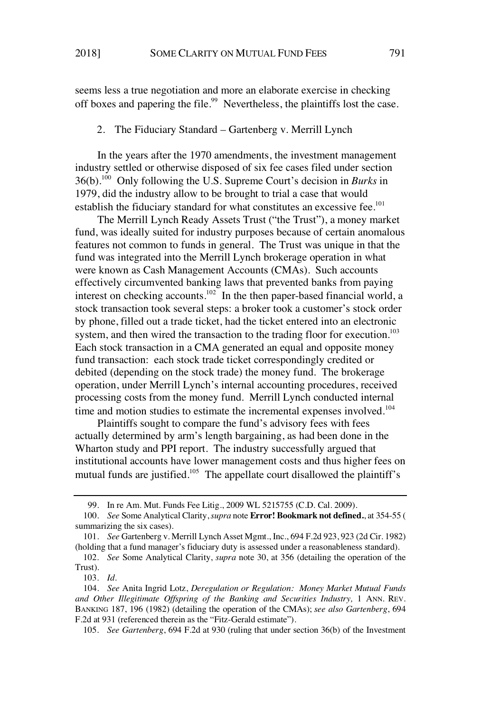seems less a true negotiation and more an elaborate exercise in checking off boxes and papering the file.<sup>99</sup> Nevertheless, the plaintiffs lost the case.

2. The Fiduciary Standard – Gartenberg v. Merrill Lynch

In the years after the 1970 amendments, the investment management industry settled or otherwise disposed of six fee cases filed under section 36(b).<sup>100</sup> Only following the U.S. Supreme Court's decision in *Burks* in 1979, did the industry allow to be brought to trial a case that would establish the fiduciary standard for what constitutes an excessive fee.<sup>101</sup>

The Merrill Lynch Ready Assets Trust ("the Trust"), a money market fund, was ideally suited for industry purposes because of certain anomalous features not common to funds in general. The Trust was unique in that the fund was integrated into the Merrill Lynch brokerage operation in what were known as Cash Management Accounts (CMAs). Such accounts effectively circumvented banking laws that prevented banks from paying interest on checking accounts.<sup>102</sup> In the then paper-based financial world, a stock transaction took several steps: a broker took a customer's stock order by phone, filled out a trade ticket, had the ticket entered into an electronic system, and then wired the transaction to the trading floor for execution.<sup>103</sup> Each stock transaction in a CMA generated an equal and opposite money fund transaction: each stock trade ticket correspondingly credited or debited (depending on the stock trade) the money fund. The brokerage operation, under Merrill Lynch's internal accounting procedures, received processing costs from the money fund. Merrill Lynch conducted internal time and motion studies to estimate the incremental expenses involved.<sup>104</sup>

Plaintiffs sought to compare the fund's advisory fees with fees actually determined by arm's length bargaining, as had been done in the Wharton study and PPI report. The industry successfully argued that institutional accounts have lower management costs and thus higher fees on mutual funds are justified.<sup>105</sup> The appellate court disallowed the plaintiff's

105. *See Gartenberg*, 694 F.2d at 930 (ruling that under section 36(b) of the Investment

<sup>99.</sup> In re Am. Mut. Funds Fee Litig*.*, 2009 WL 5215755 (C.D. Cal. 2009).

<sup>100.</sup> *See* Some Analytical Clarity,*supra* note **Error! Bookmark not defined.**, at 354-55 ( summarizing the six cases).

<sup>101.</sup> *See* Gartenberg v. Merrill Lynch Asset Mgmt., Inc., 694 F.2d 923, 923 (2d Cir. 1982) (holding that a fund manager's fiduciary duty is assessed under a reasonableness standard).

<sup>102.</sup> *See* Some Analytical Clarity, *supra* note 30, at 356 (detailing the operation of the Trust).

<sup>103.</sup> *Id.*

<sup>104.</sup> *See* Anita Ingrid Lotz, *Deregulation or Regulation: Money Market Mutual Funds and Other Illegitimate Offspring of the Banking and Securities Industry,* 1 ANN. REV. BANKING 187, 196 (1982) (detailing the operation of the CMAs); *see also Gartenberg*, 694 F.2d at 931 (referenced therein as the "Fitz-Gerald estimate").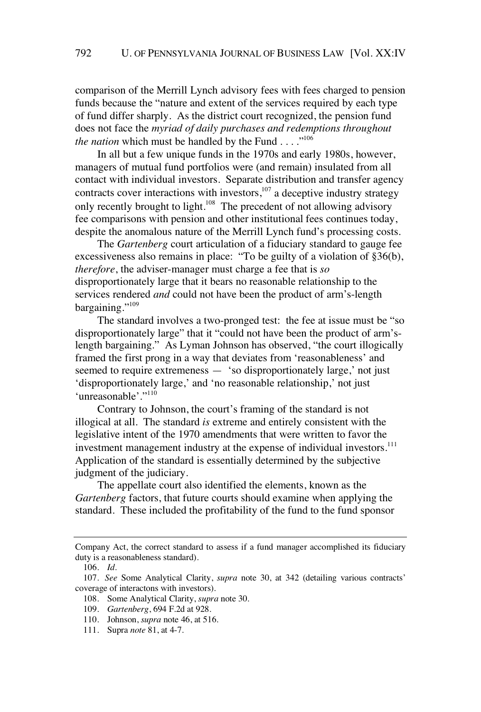comparison of the Merrill Lynch advisory fees with fees charged to pension funds because the "nature and extent of the services required by each type of fund differ sharply. As the district court recognized, the pension fund does not face the *myriad of daily purchases and redemptions throughout the nation* which must be handled by the Fund  $\ldots$ <sup>106</sup>

In all but a few unique funds in the 1970s and early 1980s, however, managers of mutual fund portfolios were (and remain) insulated from all contact with individual investors. Separate distribution and transfer agency contracts cover interactions with investors, $107$  a deceptive industry strategy only recently brought to light.<sup>108</sup> The precedent of not allowing advisory fee comparisons with pension and other institutional fees continues today, despite the anomalous nature of the Merrill Lynch fund's processing costs.

The *Gartenberg* court articulation of a fiduciary standard to gauge fee excessiveness also remains in place: "To be guilty of a violation of §36(b), *therefore*, the adviser-manager must charge a fee that is *so* disproportionately large that it bears no reasonable relationship to the services rendered *and* could not have been the product of arm's-length bargaining."<sup>109</sup>

The standard involves a two-pronged test: the fee at issue must be "so disproportionately large" that it "could not have been the product of arm'slength bargaining." As Lyman Johnson has observed, "the court illogically framed the first prong in a way that deviates from 'reasonableness' and seemed to require extremeness — 'so disproportionately large,' not just 'disproportionately large,' and 'no reasonable relationship,' not just 'unreasonable'."<sup>110</sup>

Contrary to Johnson, the court's framing of the standard is not illogical at all. The standard *is* extreme and entirely consistent with the legislative intent of the 1970 amendments that were written to favor the investment management industry at the expense of individual investors.<sup>111</sup> Application of the standard is essentially determined by the subjective judgment of the judiciary.

The appellate court also identified the elements, known as the *Gartenberg* factors, that future courts should examine when applying the standard. These included the profitability of the fund to the fund sponsor

Company Act, the correct standard to assess if a fund manager accomplished its fiduciary duty is a reasonableness standard).

<sup>106.</sup> *Id.*

<sup>107.</sup> *See* Some Analytical Clarity, *supra* note 30, at 342 (detailing various contracts' coverage of interactons with investors).

<sup>108.</sup> Some Analytical Clarity, *supra* note 30.

<sup>109.</sup> *Gartenberg*, 694 F.2d at 928.

<sup>110.</sup> Johnson, *supra* note 46, at 516.

<sup>111.</sup> Supra *note* 81, at 4-7.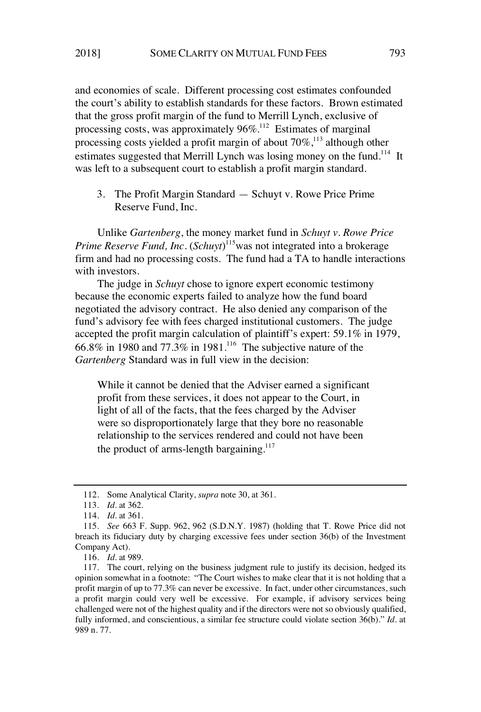and economies of scale. Different processing cost estimates confounded the court's ability to establish standards for these factors. Brown estimated that the gross profit margin of the fund to Merrill Lynch, exclusive of processing costs, was approximately  $96\%$ .<sup>112</sup> Estimates of marginal processing costs yielded a profit margin of about  $70\%$ ,<sup>113</sup> although other estimates suggested that Merrill Lynch was losing money on the fund.<sup>114</sup> It was left to a subsequent court to establish a profit margin standard.

3. The Profit Margin Standard — Schuyt v. Rowe Price Prime Reserve Fund, Inc.

Unlike *Gartenberg*, the money market fund in *Schuyt v. Rowe Price Prime Reserve Fund, Inc.* (*Schuyt*) <sup>115</sup>was not integrated into a brokerage firm and had no processing costs. The fund had a TA to handle interactions with investors.

The judge in *Schuyt* chose to ignore expert economic testimony because the economic experts failed to analyze how the fund board negotiated the advisory contract. He also denied any comparison of the fund's advisory fee with fees charged institutional customers. The judge accepted the profit margin calculation of plaintiff's expert: 59.1% in 1979,  $66.8\%$  in 1980 and 77.3% in 1981.<sup>116</sup> The subjective nature of the *Gartenberg* Standard was in full view in the decision:

While it cannot be denied that the Adviser earned a significant profit from these services, it does not appear to the Court, in light of all of the facts, that the fees charged by the Adviser were so disproportionately large that they bore no reasonable relationship to the services rendered and could not have been the product of arms-length bargaining. $117$ 

<sup>112.</sup> Some Analytical Clarity, *supra* note 30, at 361.

<sup>113.</sup> *Id.* at 362.

<sup>114.</sup> *Id.* at 361.

<sup>115.</sup> *See* 663 F. Supp. 962, 962 (S.D.N.Y. 1987) (holding that T. Rowe Price did not breach its fiduciary duty by charging excessive fees under section 36(b) of the Investment Company Act).

<sup>116.</sup> *Id.* at 989.

<sup>117.</sup> The court, relying on the business judgment rule to justify its decision, hedged its opinion somewhat in a footnote: "The Court wishes to make clear that it is not holding that a profit margin of up to 77.3% can never be excessive. In fact, under other circumstances, such a profit margin could very well be excessive. For example, if advisory services being challenged were not of the highest quality and if the directors were not so obviously qualified, fully informed, and conscientious, a similar fee structure could violate section 36(b)." *Id.* at 989 n. 77.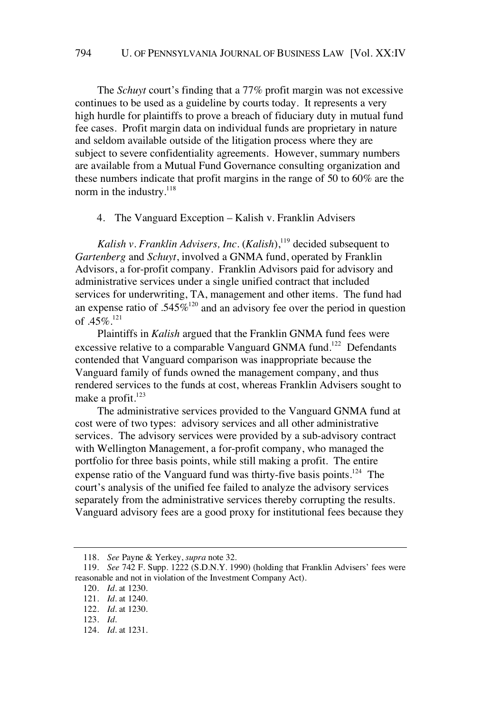The *Schuyt* court's finding that a 77% profit margin was not excessive continues to be used as a guideline by courts today. It represents a very high hurdle for plaintiffs to prove a breach of fiduciary duty in mutual fund fee cases. Profit margin data on individual funds are proprietary in nature and seldom available outside of the litigation process where they are subject to severe confidentiality agreements. However, summary numbers are available from a Mutual Fund Governance consulting organization and these numbers indicate that profit margins in the range of 50 to 60% are the norm in the industry.<sup>118</sup>

### 4. The Vanguard Exception – Kalish v. Franklin Advisers

*Kalish v. Franklin Advisers, Inc.*  $(Kalish)$ ,<sup>119</sup> decided subsequent to *Gartenberg* and *Schuyt*, involved a GNMA fund, operated by Franklin Advisors, a for-profit company. Franklin Advisors paid for advisory and administrative services under a single unified contract that included services for underwriting, TA, management and other items. The fund had an expense ratio of  $.545\%$ <sup>120</sup> and an advisory fee over the period in question of  $.45\%$ <sup>121</sup>

Plaintiffs in *Kalish* argued that the Franklin GNMA fund fees were excessive relative to a comparable Vanguard GNMA fund.<sup>122</sup> Defendants contended that Vanguard comparison was inappropriate because the Vanguard family of funds owned the management company, and thus rendered services to the funds at cost, whereas Franklin Advisers sought to make a profit. $123$ 

The administrative services provided to the Vanguard GNMA fund at cost were of two types: advisory services and all other administrative services. The advisory services were provided by a sub-advisory contract with Wellington Management, a for-profit company, who managed the portfolio for three basis points, while still making a profit. The entire expense ratio of the Vanguard fund was thirty-five basis points.<sup>124</sup> The court's analysis of the unified fee failed to analyze the advisory services separately from the administrative services thereby corrupting the results. Vanguard advisory fees are a good proxy for institutional fees because they

<sup>118.</sup> *See* Payne & Yerkey, *supra* note 32.

<sup>119.</sup> *See* 742 F. Supp. 1222 (S.D.N.Y. 1990) (holding that Franklin Advisers' fees were reasonable and not in violation of the Investment Company Act).

<sup>120.</sup> *Id.* at 1230.

<sup>121.</sup> *Id.* at 1240.

<sup>122.</sup> *Id.* at 1230.

<sup>123.</sup> *Id.*

<sup>124.</sup> *Id.* at 1231.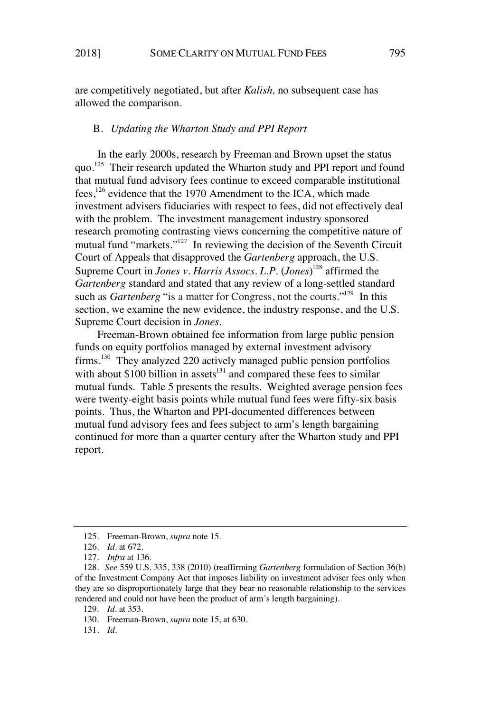are competitively negotiated, but after *Kalish,* no subsequent case has allowed the comparison.

## B. *Updating the Wharton Study and PPI Report*

In the early 2000s, research by Freeman and Brown upset the status quo.<sup>125</sup> Their research updated the Wharton study and PPI report and found that mutual fund advisory fees continue to exceed comparable institutional fees,<sup>126</sup> evidence that the 1970 Amendment to the ICA, which made investment advisers fiduciaries with respect to fees, did not effectively deal with the problem. The investment management industry sponsored research promoting contrasting views concerning the competitive nature of mutual fund "markets."<sup>127</sup> In reviewing the decision of the Seventh Circuit Court of Appeals that disapproved the *Gartenberg* approach, the U.S. Supreme Court in *Jones v. Harris Assocs. L.P.* (*Jones*) <sup>128</sup> affirmed the *Gartenberg* standard and stated that any review of a long-settled standard such as *Gartenberg* "is a matter for Congress, not the courts."<sup>129</sup> In this section, we examine the new evidence, the industry response, and the U.S. Supreme Court decision in *Jones*.

Freeman-Brown obtained fee information from large public pension funds on equity portfolios managed by external investment advisory firms.<sup>130</sup> They analyzed 220 actively managed public pension portfolios with about  $$100$  billion in assets<sup>131</sup> and compared these fees to similar mutual funds. Table 5 presents the results. Weighted average pension fees were twenty-eight basis points while mutual fund fees were fifty-six basis points. Thus, the Wharton and PPI-documented differences between mutual fund advisory fees and fees subject to arm's length bargaining continued for more than a quarter century after the Wharton study and PPI report.

131. *Id.*

<sup>125.</sup> Freeman-Brown, *supra* note 15.

<sup>126.</sup> *Id.* at 672.

<sup>127.</sup> *Infra* at 136.

<sup>128.</sup> *See* 559 U.S. 335, 338 (2010) (reaffirming *Gartenberg* formulation of Section 36(b) of the Investment Company Act that imposes liability on investment adviser fees only when they are so disproportionately large that they bear no reasonable relationship to the services rendered and could not have been the product of arm's length bargaining).

<sup>129.</sup> *Id.* at 353.

<sup>130.</sup> Freeman-Brown, *supra* note 15, at 630.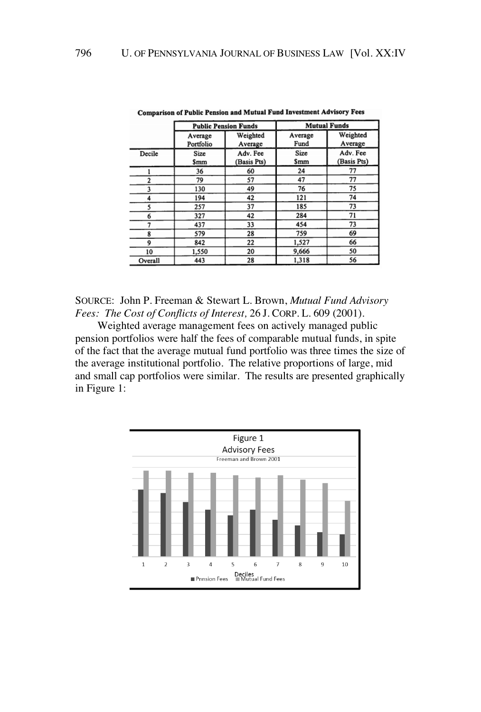|              |                      | <b>Public Pension Funds</b> | <b>Mutual Funds</b> |                         |  |
|--------------|----------------------|-----------------------------|---------------------|-------------------------|--|
|              | Average<br>Portfolio | Weighted<br>Average         | Average<br>Fund     | Weighted<br>Average     |  |
| Decile       | Size<br>Smm          | Adv. Fee<br>(Basis Pts)     | Size<br><b>Smm</b>  | Adv. Fee<br>(Basis Pts) |  |
|              | 36                   | 60                          | 24                  | 77                      |  |
| $\mathbf{2}$ | 79                   | 57                          | 47                  | 77                      |  |
| 3            | 130                  | 49                          | 76                  | 75                      |  |
| 4            | 194                  | 42                          | 121                 | 74                      |  |
| 5            | 257                  | 37                          | 185                 | 73                      |  |
| 6            | 327                  | 42                          | 284                 | 71                      |  |
|              | 437                  | 33                          | 454                 | 73                      |  |
| 8            | 579                  | 28                          | 759                 | 69                      |  |
| 9            | 842                  | 22                          | 1,527               | 66                      |  |
| 10           | 1,550                | 20                          | 9,666               | 50                      |  |
| Overall      | 443                  | 28                          | 1,318               | 56                      |  |

Comparison of Public Pension and Mutual Fund Investment Advisory Fees

SOURCE: John P. Freeman & Stewart L. Brown, *Mutual Fund Advisory Fees: The Cost of Conflicts of Interest,* 26 J. CORP. L. 609 (2001).

Weighted average management fees on actively managed public pension portfolios were half the fees of comparable mutual funds, in spite of the fact that the average mutual fund portfolio was three times the size of the average institutional portfolio. The relative proportions of large, mid and small cap portfolios were similar. The results are presented graphically in Figure 1:

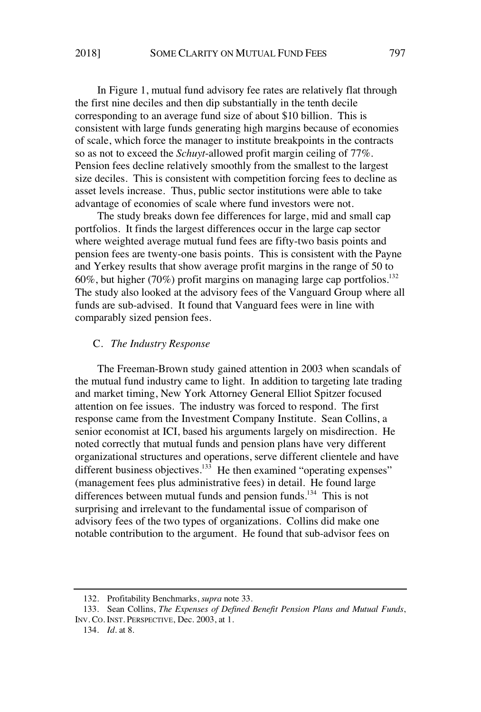In Figure 1, mutual fund advisory fee rates are relatively flat through the first nine deciles and then dip substantially in the tenth decile corresponding to an average fund size of about \$10 billion. This is consistent with large funds generating high margins because of economies of scale, which force the manager to institute breakpoints in the contracts so as not to exceed the *Schuyt*-allowed profit margin ceiling of 77%. Pension fees decline relatively smoothly from the smallest to the largest size deciles. This is consistent with competition forcing fees to decline as asset levels increase. Thus, public sector institutions were able to take advantage of economies of scale where fund investors were not.

The study breaks down fee differences for large, mid and small cap portfolios. It finds the largest differences occur in the large cap sector where weighted average mutual fund fees are fifty-two basis points and pension fees are twenty-one basis points. This is consistent with the Payne and Yerkey results that show average profit margins in the range of 50 to 60%, but higher (70%) profit margins on managing large cap portfolios.<sup>132</sup> The study also looked at the advisory fees of the Vanguard Group where all funds are sub-advised. It found that Vanguard fees were in line with comparably sized pension fees.

#### C. *The Industry Response*

The Freeman-Brown study gained attention in 2003 when scandals of the mutual fund industry came to light. In addition to targeting late trading and market timing, New York Attorney General Elliot Spitzer focused attention on fee issues. The industry was forced to respond. The first response came from the Investment Company Institute. Sean Collins, a senior economist at ICI, based his arguments largely on misdirection. He noted correctly that mutual funds and pension plans have very different organizational structures and operations, serve different clientele and have different business objectives. $13\overline{3}$  He then examined "operating expenses" (management fees plus administrative fees) in detail. He found large differences between mutual funds and pension funds.<sup>134</sup> This is not surprising and irrelevant to the fundamental issue of comparison of advisory fees of the two types of organizations. Collins did make one notable contribution to the argument. He found that sub-advisor fees on

<sup>132.</sup> Profitability Benchmarks, *supra* note 33.

<sup>133.</sup> Sean Collins, *The Expenses of Defined Benefit Pension Plans and Mutual Funds*, INV. CO. INST. PERSPECTIVE, Dec. 2003, at 1.

<sup>134.</sup> *Id.* at 8.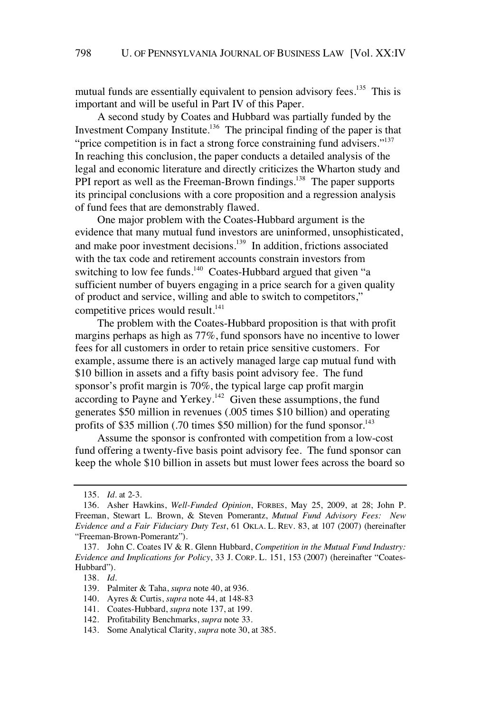mutual funds are essentially equivalent to pension advisory fees.<sup>135</sup> This is important and will be useful in Part IV of this Paper.

A second study by Coates and Hubbard was partially funded by the Investment Company Institute.<sup>136</sup> The principal finding of the paper is that "price competition is in fact a strong force constraining fund advisers."<sup>137</sup> In reaching this conclusion, the paper conducts a detailed analysis of the legal and economic literature and directly criticizes the Wharton study and PPI report as well as the Freeman-Brown findings.<sup>138</sup> The paper supports its principal conclusions with a core proposition and a regression analysis of fund fees that are demonstrably flawed.

One major problem with the Coates-Hubbard argument is the evidence that many mutual fund investors are uninformed, unsophisticated, and make poor investment decisions.<sup>139</sup> In addition, frictions associated with the tax code and retirement accounts constrain investors from switching to low fee funds.<sup>140</sup> Coates-Hubbard argued that given "a sufficient number of buyers engaging in a price search for a given quality of product and service, willing and able to switch to competitors," competitive prices would result. $141$ 

The problem with the Coates-Hubbard proposition is that with profit margins perhaps as high as 77%, fund sponsors have no incentive to lower fees for all customers in order to retain price sensitive customers. For example, assume there is an actively managed large cap mutual fund with \$10 billion in assets and a fifty basis point advisory fee. The fund sponsor's profit margin is 70%, the typical large cap profit margin according to Payne and Yerkey.<sup>142</sup> Given these assumptions, the fund generates \$50 million in revenues (.005 times \$10 billion) and operating profits of \$35 million (.70 times \$50 million) for the fund sponsor.<sup>143</sup>

Assume the sponsor is confronted with competition from a low-cost fund offering a twenty-five basis point advisory fee. The fund sponsor can keep the whole \$10 billion in assets but must lower fees across the board so

<sup>135.</sup> *Id.* at 2-3.

<sup>136.</sup> Asher Hawkins, *Well-Funded Opinion*, FORBES, May 25, 2009, at 28; John P. Freeman, Stewart L. Brown, & Steven Pomerantz, *Mutual Fund Advisory Fees: New Evidence and a Fair Fiduciary Duty Test*, 61 OKLA. L. REV. 83, at 107 (2007) (hereinafter "Freeman-Brown-Pomerantz").

<sup>137.</sup> John C. Coates IV & R. Glenn Hubbard, *Competition in the Mutual Fund Industry: Evidence and Implications for Policy*, 33 J. CORP. L. 151, 153 (2007) (hereinafter "Coates-Hubbard").

<sup>138.</sup> *Id.*

<sup>139.</sup> Palmiter & Taha, *supra* note 40, at 936.

<sup>140.</sup> Ayres & Curtis, *supra* note 44, at 148-83

<sup>141.</sup> Coates-Hubbard, *supra* note 137, at 199.

<sup>142.</sup> Profitability Benchmarks, *supra* note 33.

<sup>143.</sup> Some Analytical Clarity, *supra* note 30, at 385.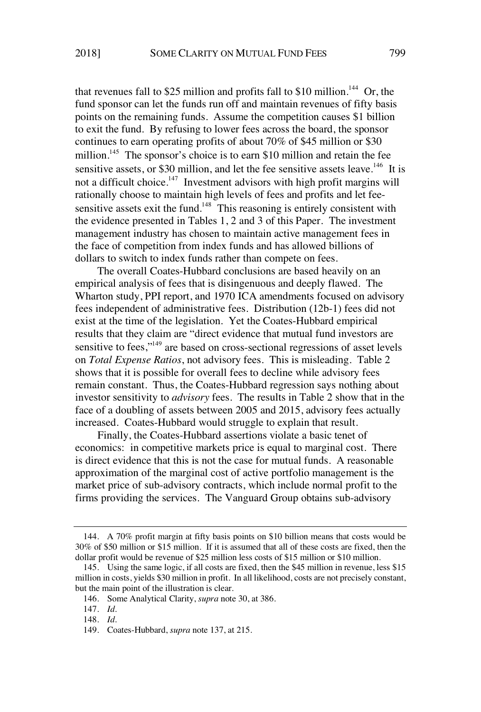that revenues fall to \$25 million and profits fall to \$10 million.<sup>144</sup> Or, the fund sponsor can let the funds run off and maintain revenues of fifty basis points on the remaining funds. Assume the competition causes \$1 billion to exit the fund. By refusing to lower fees across the board, the sponsor continues to earn operating profits of about 70% of \$45 million or \$30 million.<sup>145</sup> The sponsor's choice is to earn \$10 million and retain the fee sensitive assets, or \$30 million, and let the fee sensitive assets leave.<sup>146</sup> It is not a difficult choice.<sup>147</sup> Investment advisors with high profit margins will rationally choose to maintain high levels of fees and profits and let feesensitive assets exit the fund.<sup>148</sup> This reasoning is entirely consistent with the evidence presented in Tables 1, 2 and 3 of this Paper. The investment management industry has chosen to maintain active management fees in the face of competition from index funds and has allowed billions of dollars to switch to index funds rather than compete on fees.

The overall Coates-Hubbard conclusions are based heavily on an empirical analysis of fees that is disingenuous and deeply flawed. The Wharton study, PPI report, and 1970 ICA amendments focused on advisory fees independent of administrative fees. Distribution (12b-1) fees did not exist at the time of the legislation. Yet the Coates-Hubbard empirical results that they claim are "direct evidence that mutual fund investors are sensitive to fees,"<sup>149</sup> are based on cross-sectional regressions of asset levels on *Total Expense Ratios*, not advisory fees. This is misleading. Table 2 shows that it is possible for overall fees to decline while advisory fees remain constant. Thus, the Coates-Hubbard regression says nothing about investor sensitivity to *advisory* fees. The results in Table 2 show that in the face of a doubling of assets between 2005 and 2015, advisory fees actually increased. Coates-Hubbard would struggle to explain that result.

Finally, the Coates-Hubbard assertions violate a basic tenet of economics: in competitive markets price is equal to marginal cost. There is direct evidence that this is not the case for mutual funds. A reasonable approximation of the marginal cost of active portfolio management is the market price of sub-advisory contracts, which include normal profit to the firms providing the services. The Vanguard Group obtains sub-advisory

<sup>144.</sup> A 70% profit margin at fifty basis points on \$10 billion means that costs would be 30% of \$50 million or \$15 million. If it is assumed that all of these costs are fixed, then the dollar profit would be revenue of \$25 million less costs of \$15 million or \$10 million.

<sup>145.</sup> Using the same logic, if all costs are fixed, then the \$45 million in revenue, less \$15 million in costs, yields \$30 million in profit. In all likelihood, costs are not precisely constant, but the main point of the illustration is clear.

<sup>146.</sup> Some Analytical Clarity, *supra* note 30, at 386.

<sup>147.</sup> *Id.*

<sup>148.</sup> *Id.*

<sup>149.</sup> Coates-Hubbard, *supra* note 137, at 215.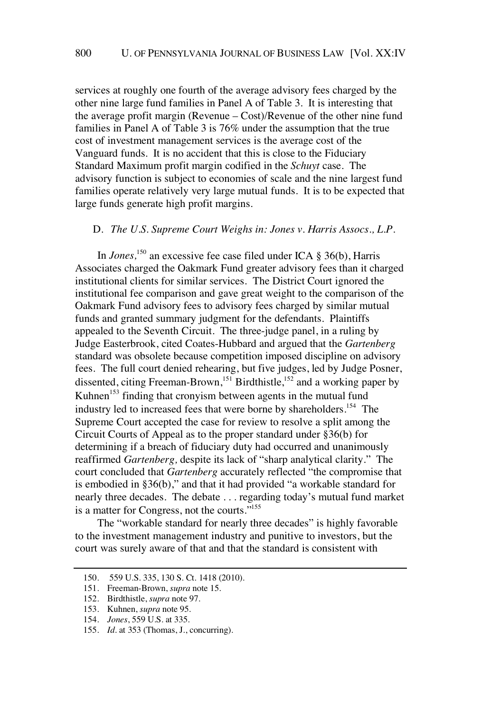services at roughly one fourth of the average advisory fees charged by the other nine large fund families in Panel A of Table 3. It is interesting that the average profit margin (Revenue – Cost)/Revenue of the other nine fund families in Panel A of Table 3 is 76% under the assumption that the true cost of investment management services is the average cost of the Vanguard funds. It is no accident that this is close to the Fiduciary Standard Maximum profit margin codified in the *Schuyt* case. The advisory function is subject to economies of scale and the nine largest fund families operate relatively very large mutual funds. It is to be expected that large funds generate high profit margins.

### D. *The U.S. Supreme Court Weighs in: Jones v. Harris Assocs., L.P.*

In *Jones,* <sup>150</sup> an excessive fee case filed under ICA § 36(b), Harris Associates charged the Oakmark Fund greater advisory fees than it charged institutional clients for similar services. The District Court ignored the institutional fee comparison and gave great weight to the comparison of the Oakmark Fund advisory fees to advisory fees charged by similar mutual funds and granted summary judgment for the defendants. Plaintiffs appealed to the Seventh Circuit. The three-judge panel, in a ruling by Judge Easterbrook, cited Coates-Hubbard and argued that the *Gartenberg* standard was obsolete because competition imposed discipline on advisory fees. The full court denied rehearing, but five judges, led by Judge Posner, dissented, citing Freeman-Brown,<sup>151</sup> Birdthistle,<sup>152</sup> and a working paper by Kuhnen<sup>153</sup> finding that cronyism between agents in the mutual fund industry led to increased fees that were borne by shareholders.<sup>154</sup> The Supreme Court accepted the case for review to resolve a split among the Circuit Courts of Appeal as to the proper standard under §36(b) for determining if a breach of fiduciary duty had occurred and unanimously reaffirmed *Gartenberg,* despite its lack of "sharp analytical clarity." The court concluded that *Gartenberg* accurately reflected "the compromise that is embodied in §36(b)," and that it had provided "a workable standard for nearly three decades. The debate . . . regarding today's mutual fund market is a matter for Congress, not the courts."<sup>155</sup>

The "workable standard for nearly three decades" is highly favorable to the investment management industry and punitive to investors, but the court was surely aware of that and that the standard is consistent with

<sup>150. 559</sup> U.S. 335, 130 S. Ct. 1418 (2010).

<sup>151.</sup> Freeman-Brown, *supra* note 15.

<sup>152.</sup> Birdthistle, *supra* note 97*.*

<sup>153.</sup> Kuhnen, *supra* note 95.

<sup>154.</sup> *Jones*, 559 U.S. at 335.

<sup>155.</sup> *Id.* at 353 (Thomas, J., concurring).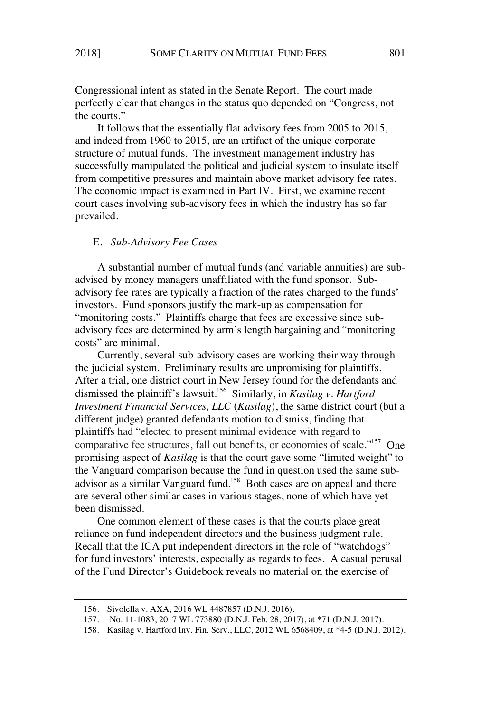Congressional intent as stated in the Senate Report. The court made perfectly clear that changes in the status quo depended on "Congress, not the courts."

It follows that the essentially flat advisory fees from 2005 to 2015, and indeed from 1960 to 2015, are an artifact of the unique corporate structure of mutual funds. The investment management industry has successfully manipulated the political and judicial system to insulate itself from competitive pressures and maintain above market advisory fee rates. The economic impact is examined in Part IV. First, we examine recent court cases involving sub-advisory fees in which the industry has so far prevailed.

## E. *Sub-Advisory Fee Cases*

A substantial number of mutual funds (and variable annuities) are subadvised by money managers unaffiliated with the fund sponsor. Subadvisory fee rates are typically a fraction of the rates charged to the funds' investors. Fund sponsors justify the mark-up as compensation for "monitoring costs." Plaintiffs charge that fees are excessive since subadvisory fees are determined by arm's length bargaining and "monitoring costs" are minimal.

Currently, several sub-advisory cases are working their way through the judicial system. Preliminary results are unpromising for plaintiffs. After a trial, one district court in New Jersey found for the defendants and dismissed the plaintiff's lawsuit.<sup>156</sup> Similarly, in *Kasilag v. Hartford Investment Financial Services, LLC* (*Kasilag*), the same district court (but a different judge) granted defendants motion to dismiss, finding that plaintiffs had "elected to present minimal evidence with regard to comparative fee structures, fall out benefits, or economies of scale."<sup>157</sup> One promising aspect of *Kasilag* is that the court gave some "limited weight" to the Vanguard comparison because the fund in question used the same subadvisor as a similar Vanguard fund.<sup>158</sup> Both cases are on appeal and there are several other similar cases in various stages, none of which have yet been dismissed.

One common element of these cases is that the courts place great reliance on fund independent directors and the business judgment rule. Recall that the ICA put independent directors in the role of "watchdogs" for fund investors' interests, especially as regards to fees. A casual perusal of the Fund Director's Guidebook reveals no material on the exercise of

<sup>156.</sup> Sivolella v. AXA, 2016 WL 4487857 (D.N.J. 2016).

<sup>157.</sup> No. 11-1083, 2017 WL 773880 (D.N.J. Feb. 28, 2017), at \*71 (D.N.J. 2017).

<sup>158.</sup> Kasilag v. Hartford Inv. Fin. Serv., LLC, 2012 WL 6568409, at \*4-5 (D.N.J. 2012).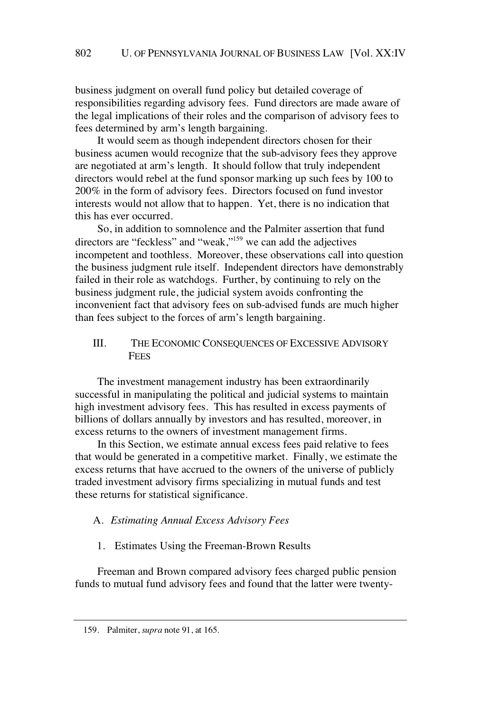business judgment on overall fund policy but detailed coverage of responsibilities regarding advisory fees. Fund directors are made aware of the legal implications of their roles and the comparison of advisory fees to fees determined by arm's length bargaining.

It would seem as though independent directors chosen for their business acumen would recognize that the sub-advisory fees they approve are negotiated at arm's length. It should follow that truly independent directors would rebel at the fund sponsor marking up such fees by 100 to 200% in the form of advisory fees. Directors focused on fund investor interests would not allow that to happen. Yet, there is no indication that this has ever occurred.

So, in addition to somnolence and the Palmiter assertion that fund directors are "feckless" and "weak,"<sup>159</sup> we can add the adjectives incompetent and toothless. Moreover, these observations call into question the business judgment rule itself. Independent directors have demonstrably failed in their role as watchdogs. Further, by continuing to rely on the business judgment rule, the judicial system avoids confronting the inconvenient fact that advisory fees on sub-advised funds are much higher than fees subject to the forces of arm's length bargaining.

## III. THE ECONOMIC CONSEQUENCES OF EXCESSIVE ADVISORY **FEES**

The investment management industry has been extraordinarily successful in manipulating the political and judicial systems to maintain high investment advisory fees. This has resulted in excess payments of billions of dollars annually by investors and has resulted, moreover, in excess returns to the owners of investment management firms.

In this Section, we estimate annual excess fees paid relative to fees that would be generated in a competitive market. Finally, we estimate the excess returns that have accrued to the owners of the universe of publicly traded investment advisory firms specializing in mutual funds and test these returns for statistical significance.

## A. *Estimating Annual Excess Advisory Fees*

1. Estimates Using the Freeman-Brown Results

Freeman and Brown compared advisory fees charged public pension funds to mutual fund advisory fees and found that the latter were twenty-

<sup>159.</sup> Palmiter, *supra* note 91, at 165.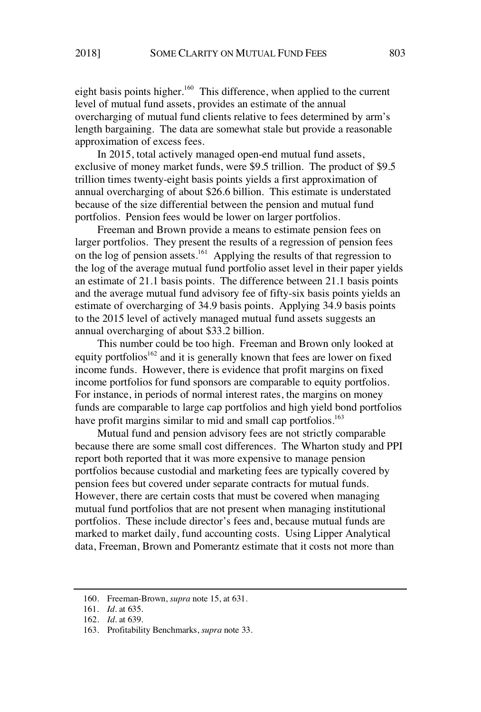eight basis points higher.<sup>160</sup> This difference, when applied to the current level of mutual fund assets, provides an estimate of the annual overcharging of mutual fund clients relative to fees determined by arm's length bargaining. The data are somewhat stale but provide a reasonable approximation of excess fees.

In 2015, total actively managed open-end mutual fund assets, exclusive of money market funds, were \$9.5 trillion. The product of \$9.5 trillion times twenty-eight basis points yields a first approximation of annual overcharging of about \$26.6 billion. This estimate is understated because of the size differential between the pension and mutual fund portfolios. Pension fees would be lower on larger portfolios.

Freeman and Brown provide a means to estimate pension fees on larger portfolios. They present the results of a regression of pension fees on the log of pension assets.<sup>161</sup> Applying the results of that regression to the log of the average mutual fund portfolio asset level in their paper yields an estimate of 21.1 basis points. The difference between 21.1 basis points and the average mutual fund advisory fee of fifty-six basis points yields an estimate of overcharging of 34.9 basis points. Applying 34.9 basis points to the 2015 level of actively managed mutual fund assets suggests an annual overcharging of about \$33.2 billion.

This number could be too high. Freeman and Brown only looked at equity portfolios<sup>162</sup> and it is generally known that fees are lower on fixed income funds. However, there is evidence that profit margins on fixed income portfolios for fund sponsors are comparable to equity portfolios. For instance, in periods of normal interest rates, the margins on money funds are comparable to large cap portfolios and high yield bond portfolios have profit margins similar to mid and small cap portfolios.<sup>163</sup>

Mutual fund and pension advisory fees are not strictly comparable because there are some small cost differences. The Wharton study and PPI report both reported that it was more expensive to manage pension portfolios because custodial and marketing fees are typically covered by pension fees but covered under separate contracts for mutual funds. However, there are certain costs that must be covered when managing mutual fund portfolios that are not present when managing institutional portfolios. These include director's fees and, because mutual funds are marked to market daily, fund accounting costs. Using Lipper Analytical data, Freeman, Brown and Pomerantz estimate that it costs not more than

<sup>160.</sup> Freeman-Brown, *supra* note 15, at 631.

<sup>161.</sup> *Id.* at 635*.*

<sup>162.</sup> *Id.* at 639.

<sup>163.</sup> Profitability Benchmarks, *supra* note 33.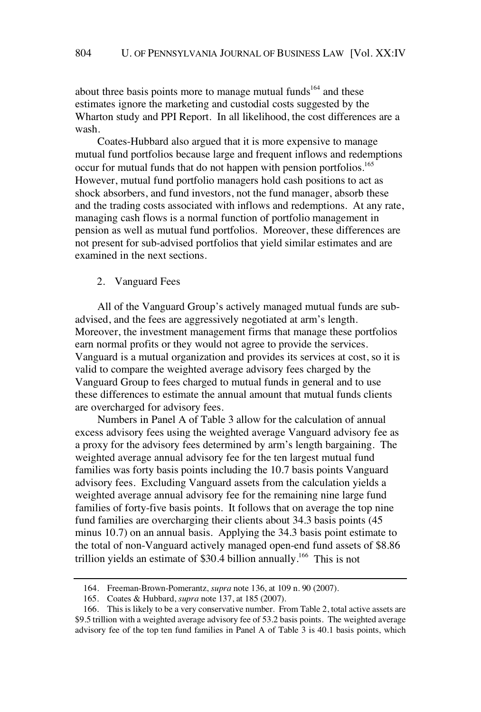about three basis points more to manage mutual funds<sup>164</sup> and these estimates ignore the marketing and custodial costs suggested by the Wharton study and PPI Report. In all likelihood, the cost differences are a wash.

Coates-Hubbard also argued that it is more expensive to manage mutual fund portfolios because large and frequent inflows and redemptions occur for mutual funds that do not happen with pension portfolios.<sup>165</sup> However, mutual fund portfolio managers hold cash positions to act as shock absorbers, and fund investors, not the fund manager, absorb these and the trading costs associated with inflows and redemptions. At any rate, managing cash flows is a normal function of portfolio management in pension as well as mutual fund portfolios. Moreover, these differences are not present for sub-advised portfolios that yield similar estimates and are examined in the next sections.

2. Vanguard Fees

All of the Vanguard Group's actively managed mutual funds are subadvised, and the fees are aggressively negotiated at arm's length. Moreover, the investment management firms that manage these portfolios earn normal profits or they would not agree to provide the services. Vanguard is a mutual organization and provides its services at cost, so it is valid to compare the weighted average advisory fees charged by the Vanguard Group to fees charged to mutual funds in general and to use these differences to estimate the annual amount that mutual funds clients are overcharged for advisory fees.

Numbers in Panel A of Table 3 allow for the calculation of annual excess advisory fees using the weighted average Vanguard advisory fee as a proxy for the advisory fees determined by arm's length bargaining. The weighted average annual advisory fee for the ten largest mutual fund families was forty basis points including the 10.7 basis points Vanguard advisory fees. Excluding Vanguard assets from the calculation yields a weighted average annual advisory fee for the remaining nine large fund families of forty-five basis points. It follows that on average the top nine fund families are overcharging their clients about 34.3 basis points (45 minus 10.7) on an annual basis. Applying the 34.3 basis point estimate to the total of non-Vanguard actively managed open-end fund assets of \$8.86 trillion yields an estimate of \$30.4 billion annually.<sup>166</sup> This is not

<sup>164.</sup> Freeman-Brown-Pomerantz, *supra* note 136, at 109 n. 90 (2007).

<sup>165.</sup> Coates & Hubbard, *supra* note 137, at 185 (2007).

<sup>166.</sup> This is likely to be a very conservative number. From Table 2, total active assets are \$9.5 trillion with a weighted average advisory fee of 53.2 basis points. The weighted average advisory fee of the top ten fund families in Panel A of Table 3 is 40.1 basis points, which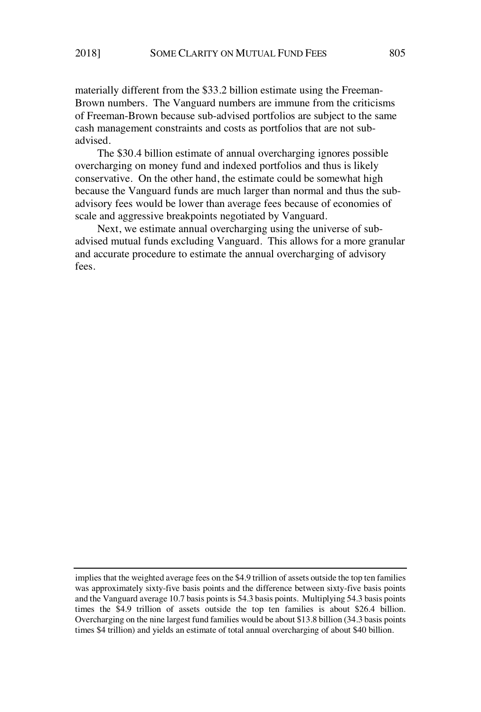materially different from the \$33.2 billion estimate using the Freeman-Brown numbers. The Vanguard numbers are immune from the criticisms of Freeman-Brown because sub-advised portfolios are subject to the same cash management constraints and costs as portfolios that are not subadvised.

The \$30.4 billion estimate of annual overcharging ignores possible overcharging on money fund and indexed portfolios and thus is likely conservative. On the other hand, the estimate could be somewhat high because the Vanguard funds are much larger than normal and thus the subadvisory fees would be lower than average fees because of economies of scale and aggressive breakpoints negotiated by Vanguard.

Next, we estimate annual overcharging using the universe of subadvised mutual funds excluding Vanguard. This allows for a more granular and accurate procedure to estimate the annual overcharging of advisory fees.

implies that the weighted average fees on the \$4.9 trillion of assets outside the top ten families was approximately sixty-five basis points and the difference between sixty-five basis points and the Vanguard average 10.7 basis points is 54.3 basis points. Multiplying 54.3 basis points times the \$4.9 trillion of assets outside the top ten families is about \$26.4 billion. Overcharging on the nine largest fund families would be about \$13.8 billion (34.3 basis points times \$4 trillion) and yields an estimate of total annual overcharging of about \$40 billion.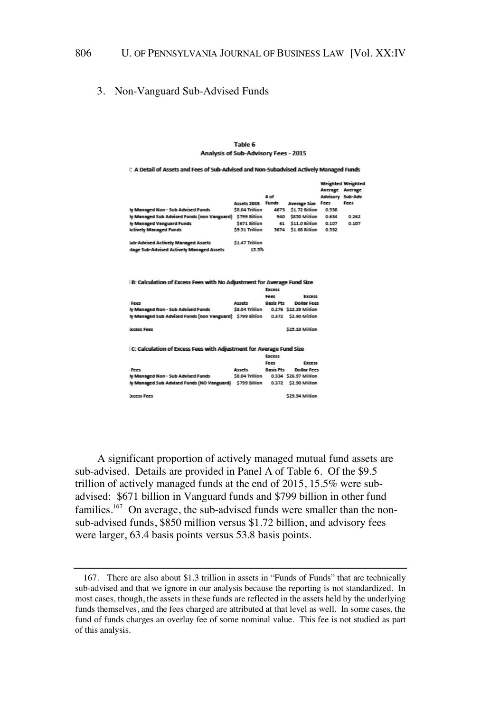#### 806 U. OF PENNSYLVANIA JOURNAL OF BUSINESS LAW [Vol. XX:IV

## 3. Non-Vanguard Sub-Advised Funds

#### Table 6 Analysis of Sub-Advisory Fees - 2015

I: A Detail of Assets and Fees of Sub-Advised and Non-Subadvised Actively Managed Funds

|                                             | <b>Assets 2015</b> | $#$ of<br><b>Funds</b> | <b>Average Size</b> | <b>Weighted Weighter</b><br>Average Average<br>Advisory Sub-Adv<br>Fees | Fees  |
|---------------------------------------------|--------------------|------------------------|---------------------|-------------------------------------------------------------------------|-------|
| ly Managed Non - Sub Advised Funds          | \$8.04 Trillion    | 4673                   | \$1.72 Billion      | 0.538                                                                   |       |
| Iy Managed Sub Advised Funds (non Vanguard) | \$799 Billion      | 940                    | \$850 Million       | 0.634                                                                   | 0.262 |
| ly Managed Vanguard Funds                   | \$671 Billion      | 61                     | \$11.0 Billion      | 0.107                                                                   | 0.107 |
| <b>Actively Managed Funds</b>               | \$9.51 Trillion    | 5674                   | \$1.68 Billion      | 0.532                                                                   |       |
| Sub-Advised Actively Managed Assets         | \$1.47 Trillion    |                        |                     |                                                                         |       |
| ntage Sub-Advised Actively Managed Assets   | 15.5%              |                        |                     |                                                                         |       |
|                                             |                    |                        |                     |                                                                         |       |

| B: Calculation of Excess Fees with No Adjustment for Average Fund Size         |                 |                  |                       |  |  |  |  |  |  |
|--------------------------------------------------------------------------------|-----------------|------------------|-----------------------|--|--|--|--|--|--|
|                                                                                |                 | <b>Excess</b>    |                       |  |  |  |  |  |  |
|                                                                                |                 | Fees             | <b>Excess</b>         |  |  |  |  |  |  |
| : Fees                                                                         | Accett          | <b>Racic Ptc</b> | <b>Dollar Fees</b>    |  |  |  |  |  |  |
| ly Managed Non - Sub Advised Funds                                             | \$8.04 Trillion |                  | 0.276 \$22.29 Million |  |  |  |  |  |  |
| Iv Managed Sub Advised Funds (non Vanguard) \$799 Billion 0.372 \$2.90 Million |                 |                  |                       |  |  |  |  |  |  |
| <b>Excess Fees</b>                                                             |                 |                  | \$25.19 Million       |  |  |  |  |  |  |
| I C: Calculation of Excess Fees with Adjustment for Average Fund Size          |                 | Excess           |                       |  |  |  |  |  |  |

|                                                          |                 | Fees             | <b>Excess</b>         |
|----------------------------------------------------------|-----------------|------------------|-----------------------|
| Fees                                                     | Assets          | <b>Basis Pts</b> | <b>Dollar Fees</b>    |
| ly Managed Non - Sub Advised Funds                       | \$8.04 Trillion |                  | 0.334 \$26.97 Million |
| ly Managed Sub Advised Funds (NO Vanguard) \$799 Billion |                 |                  | 0.372 \$2.90 Million  |
|                                                          |                 |                  |                       |
| Fremen Food                                              |                 |                  | \$29.94 Million       |

A significant proportion of actively managed mutual fund assets are sub-advised. Details are provided in Panel A of Table 6. Of the \$9.5 trillion of actively managed funds at the end of 2015, 15.5% were subadvised: \$671 billion in Vanguard funds and \$799 billion in other fund families.<sup>167</sup> On average, the sub-advised funds were smaller than the nonsub-advised funds, \$850 million versus \$1.72 billion, and advisory fees were larger, 63.4 basis points versus 53.8 basis points.

<sup>167.</sup> There are also about \$1.3 trillion in assets in "Funds of Funds" that are technically sub-advised and that we ignore in our analysis because the reporting is not standardized. In most cases, though, the assets in these funds are reflected in the assets held by the underlying funds themselves, and the fees charged are attributed at that level as well. In some cases, the fund of funds charges an overlay fee of some nominal value. This fee is not studied as part of this analysis.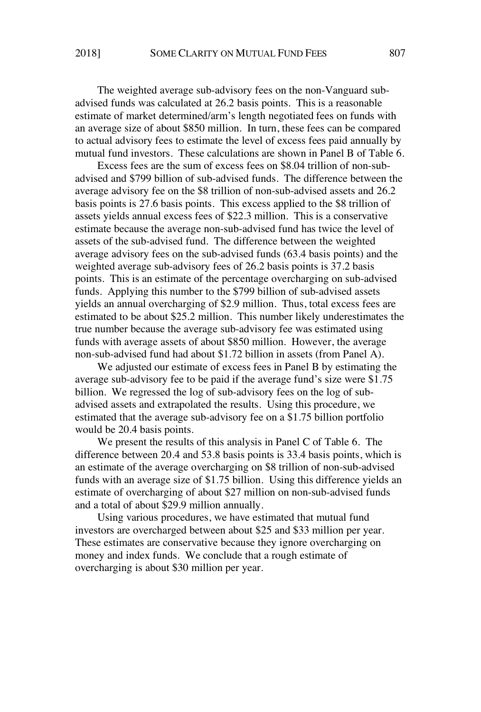The weighted average sub-advisory fees on the non-Vanguard subadvised funds was calculated at 26.2 basis points. This is a reasonable estimate of market determined/arm's length negotiated fees on funds with an average size of about \$850 million. In turn, these fees can be compared to actual advisory fees to estimate the level of excess fees paid annually by mutual fund investors. These calculations are shown in Panel B of Table 6.

Excess fees are the sum of excess fees on \$8.04 trillion of non-subadvised and \$799 billion of sub-advised funds. The difference between the average advisory fee on the \$8 trillion of non-sub-advised assets and 26.2 basis points is 27.6 basis points. This excess applied to the \$8 trillion of assets yields annual excess fees of \$22.3 million. This is a conservative estimate because the average non-sub-advised fund has twice the level of assets of the sub-advised fund. The difference between the weighted average advisory fees on the sub-advised funds (63.4 basis points) and the weighted average sub-advisory fees of 26.2 basis points is 37.2 basis points. This is an estimate of the percentage overcharging on sub-advised funds. Applying this number to the \$799 billion of sub-advised assets yields an annual overcharging of \$2.9 million. Thus, total excess fees are estimated to be about \$25.2 million. This number likely underestimates the true number because the average sub-advisory fee was estimated using funds with average assets of about \$850 million. However, the average non-sub-advised fund had about \$1.72 billion in assets (from Panel A).

We adjusted our estimate of excess fees in Panel B by estimating the average sub-advisory fee to be paid if the average fund's size were \$1.75 billion. We regressed the log of sub-advisory fees on the log of subadvised assets and extrapolated the results. Using this procedure, we estimated that the average sub-advisory fee on a \$1.75 billion portfolio would be 20.4 basis points.

We present the results of this analysis in Panel C of Table 6. The difference between 20.4 and 53.8 basis points is 33.4 basis points, which is an estimate of the average overcharging on \$8 trillion of non-sub-advised funds with an average size of \$1.75 billion. Using this difference yields an estimate of overcharging of about \$27 million on non-sub-advised funds and a total of about \$29.9 million annually.

Using various procedures, we have estimated that mutual fund investors are overcharged between about \$25 and \$33 million per year. These estimates are conservative because they ignore overcharging on money and index funds. We conclude that a rough estimate of overcharging is about \$30 million per year.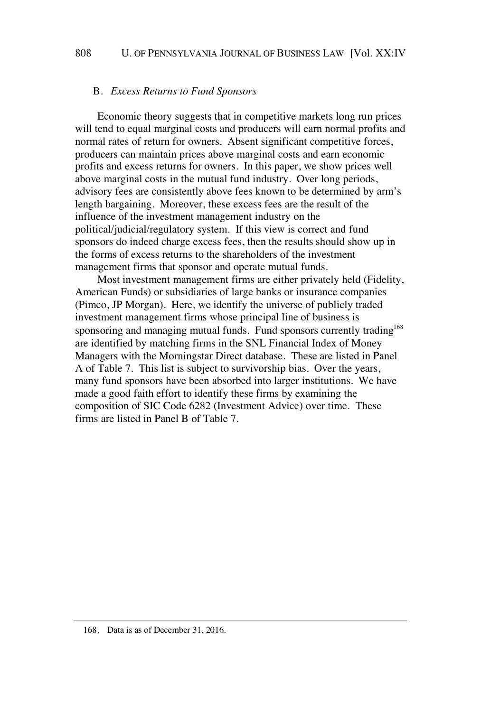### B. *Excess Returns to Fund Sponsors*

Economic theory suggests that in competitive markets long run prices will tend to equal marginal costs and producers will earn normal profits and normal rates of return for owners. Absent significant competitive forces, producers can maintain prices above marginal costs and earn economic profits and excess returns for owners. In this paper, we show prices well above marginal costs in the mutual fund industry. Over long periods, advisory fees are consistently above fees known to be determined by arm's length bargaining. Moreover, these excess fees are the result of the influence of the investment management industry on the political/judicial/regulatory system. If this view is correct and fund sponsors do indeed charge excess fees, then the results should show up in the forms of excess returns to the shareholders of the investment management firms that sponsor and operate mutual funds.

Most investment management firms are either privately held (Fidelity, American Funds) or subsidiaries of large banks or insurance companies (Pimco, JP Morgan). Here, we identify the universe of publicly traded investment management firms whose principal line of business is sponsoring and managing mutual funds. Fund sponsors currently trading<sup>168</sup> are identified by matching firms in the SNL Financial Index of Money Managers with the Morningstar Direct database. These are listed in Panel A of Table 7. This list is subject to survivorship bias. Over the years, many fund sponsors have been absorbed into larger institutions. We have made a good faith effort to identify these firms by examining the composition of SIC Code 6282 (Investment Advice) over time. These firms are listed in Panel B of Table 7.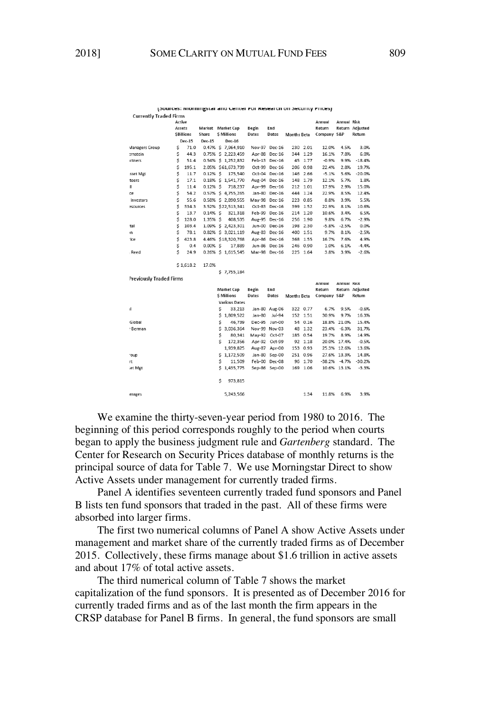| <b>Currently Traded Firms</b>  |        |                  |                          |   |                      |              |               |                    |          |             |                    |                        |
|--------------------------------|--------|------------------|--------------------------|---|----------------------|--------------|---------------|--------------------|----------|-------------|--------------------|------------------------|
|                                | Active |                  |                          |   |                      |              |               |                    |          | Annual      | <b>Annual Risk</b> |                        |
|                                | Assets |                  | <b>Market</b> Market Cap |   |                      | Begin        | End           |                    |          | Return      |                    | <b>Return Adjusted</b> |
|                                |        | <b>SBillions</b> | Share                    |   | <b>S</b> Millions    | Dates        | Dates         | <b>Months Beta</b> |          | Company S&P |                    | Return                 |
|                                |        | Dec-15           | Dec-15                   |   | Dec-16               |              |               |                    |          |             |                    |                        |
| <b>Managers Group</b>          | \$     | 71.0             |                          |   | 0.47% \$ 7,964,910   |              | Nov-97 Dec-16 |                    | 230 2.01 | 12.0%       | 4.5%               | 3.0%                   |
| ernstein                       | \$     | 44.3             |                          |   | 0.75% \$ 2,223,459   |              | Apr-88 Dec-16 | 344                | 1.29     | 16.1%       | 7.8%               | 6.0%                   |
| rtners                         | \$     | 51.4             |                          |   | 0.54% \$ 1,252,832   |              | Feb-13 Dec-16 |                    | 45 1.77  | $-0.9%$     | 9.9%               | $-18.4%$               |
|                                | \$     | 195.1            |                          |   | 2.05% \$61,673,739   |              | Oct-99 Dec-16 | 206                | 0.98     | 22.4%       | 2.8%               | 19.7%                  |
| sset Mgt                       | \$     | 11.7             | $0.12%$ S                |   | 175,540              |              | Oct-04 Dec-16 | 146                | 2.66     | $-5.1%$     | 5.6%               | $-20.0%$               |
| teers                          | \$     | 17.1             |                          |   | 0.18% \$ 1,541,770   |              | Aug-04 Dec-16 | 148                | 1.79     | 12.1%       | 5.7%               | 1.8%                   |
| Ш                              | \$     | 11.4             | $0.12%$ \$               |   | 718,237              |              | Apr-99 Dec-16 |                    | 212 1.01 | 17.9%       | 2.9%               | 15.0%                  |
| ce                             | \$     | 54.2             |                          |   | 0.57% \$ 4,755,265   |              | Jan-80 Dec-16 | 444                | 1.24     | 22.9%       | 8.5%               | 12.4%                  |
| Investors                      | \$     | 55.6             |                          |   | 0.58% \$ 2,890,555   |              | May-98 Dec-16 |                    | 223 0.85 | 8.8%        | 3.9%               | 5.5%                   |
| esources                       | Ś      | 334.3            |                          |   | 3.52% \$22.513.341   |              | Oct-83 Dec-16 |                    | 399 1.52 | 22.9%       | 8.1%               | 10.6%                  |
|                                | \$     | 13.7             | $0.14%$ \$               |   | 321,318              |              | Feb-99 Dec-16 |                    | 214 1.20 | 10.6%       | 3.4%               | 6.5%                   |
|                                | \$     | 128.0            | 1.35% S                  |   | 408,535              |              | Aug-95 Dec-16 | 256                | 1.90     | 9.8%        | 6.7%               | $-2.9%$                |
| tal                            | \$     | 103.4            |                          |   | 1.09% \$ 2,423,301   |              | Jun-00 Dec-16 | 198                | 2.30     | $-5.8%$     | $-2.5%$            | 0.0%                   |
| 'n                             | \$     | 78.1             |                          |   | 0.82% \$ 3,021,119   |              | Aug-83 Dec-16 |                    | 400 1.51 | 9.7%        | 8.1%               | $-2.5%$                |
| ice                            | \$     | 423.8            |                          |   | 4.46% \$18.320.768   |              | Apr-86 Dec-16 |                    | 368 1.55 | 16.7%       | 7.6%               | 4.9%                   |
|                                | \$     | 0.4              | $0.00%$ \$               |   | 17,889               |              | Jun-86 Dec-16 |                    | 246 0.90 | 1.0%        | 6.1%               | $-4.4%$                |
| . Reed                         | Ś      | 24.9             |                          |   | 0.26% \$ 1.615.545   |              | Mar-98 Dec-16 |                    | 225 1.64 | 3.8%        | 3.9%               | $-2.6%$                |
| <b>Previously Traded Firms</b> |        | \$1,618.2        | 17.0%                    |   | \$7,755,184          |              |               |                    |          |             |                    |                        |
|                                |        |                  |                          |   |                      |              |               |                    |          | Annual      | Annual Kisk        |                        |
|                                |        |                  |                          |   | <b>Market Cap</b>    | <b>Begin</b> | End           |                    |          | Return      |                    | <b>Return Adjusted</b> |
|                                |        |                  |                          |   | <b>S</b> Millions    | Dates        | Dates         | <b>Months Beta</b> |          | Company S&P |                    | Return                 |
|                                |        |                  |                          |   | <b>Various Dates</b> |              |               |                    |          |             |                    |                        |
| ıl.                            |        |                  |                          | Ś | 33,213               |              | Jan-80 Aug-06 |                    | 322 0.77 | 6.7%        | 9.5%               | $-0.6%$                |
|                                |        |                  |                          | s | 1,809,522            | Jan-80       | Jul-94        |                    | 152 1.51 | 30.9%       | 9.7%               | 16.3%                  |
| Global                         |        |                  |                          | S | 46,739               |              | Dec-95 Jun-00 | 54                 | 0.16     |             | 18.8% 21.0%        | 15.4%                  |
| · Berman                       |        |                  |                          |   | \$ 3.036.364         |              | Nov-99 Nov-03 | 48                 | 1.32     |             | 23.4% -6.3%        | 31.7%                  |
|                                |        |                  |                          | S | 80,341               |              | May-92 Oct-07 | 185                | 0.54     | 19.7%       | 8.9%               | 14.9%                  |
|                                |        |                  |                          | Ś | 172.356              |              | Apr-92 Oct-99 |                    | 92 1.18  |             | 20.0% 17.4%        | $-0.5%$                |
|                                |        |                  |                          |   | 1,939,825            |              | Aug-87 Apr-00 | 153                | 0.93     |             | 25.3% 12.6%        | 13.6%                  |
| <b>OUD</b>                     |        |                  |                          |   | \$1.172.509          |              | Jan-80 Sep-00 | 251                | 0.96     |             | 27.6% 13.3%        | 14.8%                  |
| rt                             |        |                  |                          | s | 11,509               |              | Feb-00 Dec-08 | 96                 | 1.70     |             | $-38.2\% -4.7\%$   | $-30.2%$               |
| et Mgt                         |        |                  |                          |   | \$1,435,775          |              | Sep-86 Sep-00 |                    | 169 1.06 |             | 10.6% 13.1%        | $-3.3%$                |
|                                |        |                  |                          |   |                      |              |               |                    |          |             |                    |                        |
|                                |        |                  |                          | S | 973,815              |              |               |                    |          |             |                    |                        |
| erages                         |        |                  |                          |   | 5,243,566            |              |               |                    | 1.34     | 11.8%       | 6.9%               | 3.9%                   |

(pources: iviorningstar and center nor research on becurity nitces)

We examine the thirty-seven-year period from 1980 to 2016. The beginning of this period corresponds roughly to the period when courts began to apply the business judgment rule and *Gartenberg* standard. The Center for Research on Security Prices database of monthly returns is the principal source of data for Table 7. We use Morningstar Direct to show Active Assets under management for currently traded firms.

Panel A identifies seventeen currently traded fund sponsors and Panel B lists ten fund sponsors that traded in the past. All of these firms were absorbed into larger firms.

The first two numerical columns of Panel A show Active Assets under management and market share of the currently traded firms as of December 2015. Collectively, these firms manage about \$1.6 trillion in active assets and about 17% of total active assets.

The third numerical column of Table 7 shows the market capitalization of the fund sponsors. It is presented as of December 2016 for currently traded firms and as of the last month the firm appears in the CRSP database for Panel B firms. In general, the fund sponsors are small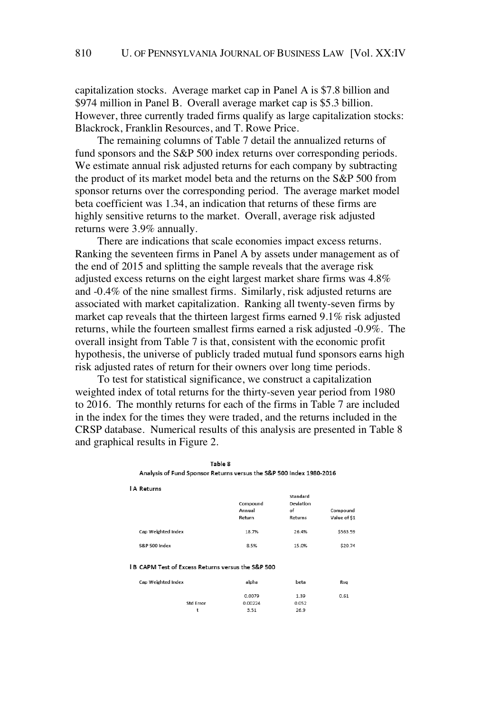capitalization stocks. Average market cap in Panel A is \$7.8 billion and \$974 million in Panel B. Overall average market cap is \$5.3 billion. However, three currently traded firms qualify as large capitalization stocks: Blackrock, Franklin Resources, and T. Rowe Price.

The remaining columns of Table 7 detail the annualized returns of fund sponsors and the S&P 500 index returns over corresponding periods. We estimate annual risk adjusted returns for each company by subtracting the product of its market model beta and the returns on the S&P 500 from sponsor returns over the corresponding period. The average market model beta coefficient was 1.34, an indication that returns of these firms are highly sensitive returns to the market. Overall, average risk adjusted returns were 3.9% annually.

There are indications that scale economies impact excess returns. Ranking the seventeen firms in Panel A by assets under management as of the end of 2015 and splitting the sample reveals that the average risk adjusted excess returns on the eight largest market share firms was 4.8% and -0.4% of the nine smallest firms. Similarly, risk adjusted returns are associated with market capitalization. Ranking all twenty-seven firms by market cap reveals that the thirteen largest firms earned 9.1% risk adjusted returns, while the fourteen smallest firms earned a risk adjusted -0.9%. The overall insight from Table 7 is that, consistent with the economic profit hypothesis, the universe of publicly traded mutual fund sponsors earns high risk adjusted rates of return for their owners over long time periods.

To test for statistical significance, we construct a capitalization weighted index of total returns for the thirty-seven year period from 1980 to 2016. The monthly returns for each of the firms in Table 7 are included in the index for the times they were traded, and the returns included in the CRSP database. Numerical results of this analysis are presented in Table 8 and graphical results in Figure 2.

| Analysis of Fund Sponsor Returns versus the S&P 500 index 1960-2016 |                    |                                    |              |
|---------------------------------------------------------------------|--------------------|------------------------------------|--------------|
| <b>A</b> Returns                                                    | Compound<br>Annual | Standard<br><b>Deviation</b><br>of | Compound     |
|                                                                     | Return             | Returns                            | Value of \$1 |
| Cap Weighted Index                                                  | 18.7%              | 26.4%                              | \$563.59     |
| S&P 500 Index                                                       | 8.5%               | 15.0%                              | \$20.74      |
| <b>B CAPM Test of Excess Returns versus the S&amp;P 500</b>         |                    |                                    |              |
| Cap Weighted Index                                                  | alpha              | beta                               | Rsg          |
|                                                                     | 0.0079             | 1.39                               | 0.61         |
| <b>Std Error</b>                                                    | 0.00224            | 0.052                              |              |
| t                                                                   | 3.51               | 26.9                               |              |

Table 8 Anglucia of Fund Cuppers Datus  $1000, 200$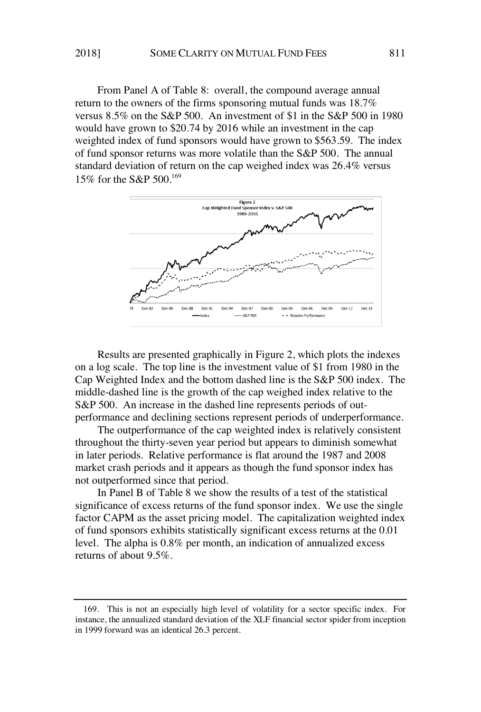From Panel A of Table 8: overall, the compound average annual return to the owners of the firms sponsoring mutual funds was 18.7% versus 8.5% on the S&P 500. An investment of \$1 in the S&P 500 in 1980 would have grown to \$20.74 by 2016 while an investment in the cap weighted index of fund sponsors would have grown to \$563.59. The index of fund sponsor returns was more volatile than the S&P 500. The annual standard deviation of return on the cap weighed index was 26.4% versus 15% for the S&P 500.<sup>169</sup>



Results are presented graphically in Figure 2, which plots the indexes on a log scale. The top line is the investment value of \$1 from 1980 in the Cap Weighted Index and the bottom dashed line is the S&P 500 index. The middle-dashed line is the growth of the cap weighed index relative to the S&P 500. An increase in the dashed line represents periods of outperformance and declining sections represent periods of underperformance.

The outperformance of the cap weighted index is relatively consistent throughout the thirty-seven year period but appears to diminish somewhat in later periods. Relative performance is flat around the 1987 and 2008 market crash periods and it appears as though the fund sponsor index has not outperformed since that period.

In Panel B of Table 8 we show the results of a test of the statistical significance of excess returns of the fund sponsor index. We use the single factor CAPM as the asset pricing model. The capitalization weighted index of fund sponsors exhibits statistically significant excess returns at the 0.01 level. The alpha is 0.8% per month, an indication of annualized excess returns of about 9.5%.

<sup>169.</sup> This is not an especially high level of volatility for a sector specific index. For instance, the annualized standard deviation of the XLF financial sector spider from inception in 1999 forward was an identical 26.3 percent.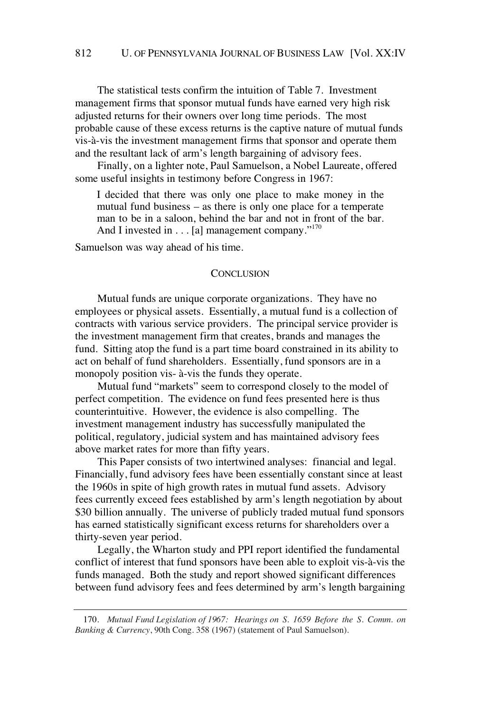The statistical tests confirm the intuition of Table 7. Investment management firms that sponsor mutual funds have earned very high risk adjusted returns for their owners over long time periods. The most probable cause of these excess returns is the captive nature of mutual funds vis-à-vis the investment management firms that sponsor and operate them and the resultant lack of arm's length bargaining of advisory fees.

Finally, on a lighter note, Paul Samuelson, a Nobel Laureate, offered some useful insights in testimony before Congress in 1967:

I decided that there was only one place to make money in the mutual fund business – as there is only one place for a temperate man to be in a saloon, behind the bar and not in front of the bar. And I invested in . . . [a] management company."<sup>170</sup>

Samuelson was way ahead of his time.

#### **CONCLUSION**

Mutual funds are unique corporate organizations. They have no employees or physical assets. Essentially, a mutual fund is a collection of contracts with various service providers. The principal service provider is the investment management firm that creates, brands and manages the fund. Sitting atop the fund is a part time board constrained in its ability to act on behalf of fund shareholders. Essentially, fund sponsors are in a monopoly position vis- à-vis the funds they operate.

Mutual fund "markets" seem to correspond closely to the model of perfect competition. The evidence on fund fees presented here is thus counterintuitive. However, the evidence is also compelling. The investment management industry has successfully manipulated the political, regulatory, judicial system and has maintained advisory fees above market rates for more than fifty years.

This Paper consists of two intertwined analyses: financial and legal. Financially, fund advisory fees have been essentially constant since at least the 1960s in spite of high growth rates in mutual fund assets. Advisory fees currently exceed fees established by arm's length negotiation by about \$30 billion annually. The universe of publicly traded mutual fund sponsors has earned statistically significant excess returns for shareholders over a thirty-seven year period.

Legally, the Wharton study and PPI report identified the fundamental conflict of interest that fund sponsors have been able to exploit vis-à-vis the funds managed. Both the study and report showed significant differences between fund advisory fees and fees determined by arm's length bargaining

<sup>170.</sup> *Mutual Fund Legislation of 1967: Hearings on S. 1659 Before the S. Comm. on Banking & Currency*, 90th Cong. 358 (1967) (statement of Paul Samuelson).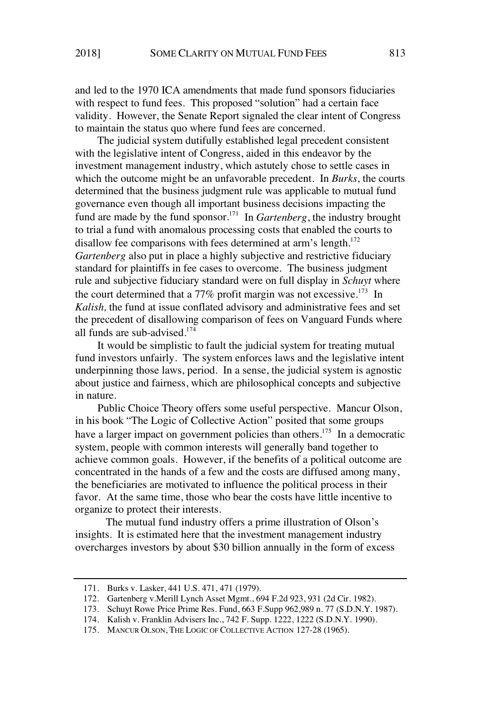and led to the 1970 ICA amendments that made fund sponsors fiduciaries with respect to fund fees. This proposed "solution" had a certain face validity. However, the Senate Report signaled the clear intent of Congress to maintain the status quo where fund fees are concerned.

The judicial system dutifully established legal precedent consistent with the legislative intent of Congress, aided in this endeavor by the investment management industry, which astutely chose to settle cases in which the outcome might be an unfavorable precedent. In *Burks*, the courts determined that the business judgment rule was applicable to mutual fund governance even though all important business decisions impacting the fund are made by the fund sponsor.<sup>171</sup> In *Gartenberg*, the industry brought to trial a fund with anomalous processing costs that enabled the courts to disallow fee comparisons with fees determined at arm's length.<sup>172</sup> *Gartenberg* also put in place a highly subjective and restrictive fiduciary standard for plaintiffs in fee cases to overcome. The business judgment rule and subjective fiduciary standard were on full display in *Schuyt* where the court determined that a 77% profit margin was not excessive.<sup>173</sup> In *Kalish,* the fund at issue conflated advisory and administrative fees and set the precedent of disallowing comparison of fees on Vanguard Funds where all funds are sub-advised.<sup>174</sup>

It would be simplistic to fault the judicial system for treating mutual fund investors unfairly. The system enforces laws and the legislative intent underpinning those laws, period. In a sense, the judicial system is agnostic about justice and fairness, which are philosophical concepts and subjective in nature.

Public Choice Theory offers some useful perspective. Mancur Olson, in his book "The Logic of Collective Action" posited that some groups have a larger impact on government policies than others.<sup>175</sup> In a democratic system, people with common interests will generally band together to achieve common goals. However, if the benefits of a political outcome are concentrated in the hands of a few and the costs are diffused among many, the beneficiaries are motivated to influence the political process in their favor. At the same time, those who bear the costs have little incentive to organize to protect their interests.

The mutual fund industry offers a prime illustration of Olson's insights. It is estimated here that the investment management industry overcharges investors by about \$30 billion annually in the form of excess

<sup>171.</sup> Burks v. Lasker, 441 U.S. 471, 471 (1979).

<sup>172.</sup> Gartenberg v.Merill Lynch Asset Mgmt., 694 F.2d 923, 931 (2d Cir. 1982).

<sup>173.</sup> Schuyt Rowe Price Prime Res. Fund, 663 F.Supp 962,989 n. 77 (S.D.N.Y. 1987).

<sup>174.</sup> Kalish v. Franklin Advisers Inc., 742 F. Supp. 1222, 1222 (S.D.N.Y. 1990).

<sup>175.</sup> MANCUR OLSON, THE LOGIC OF COLLECTIVE ACTION 127-28 (1965).